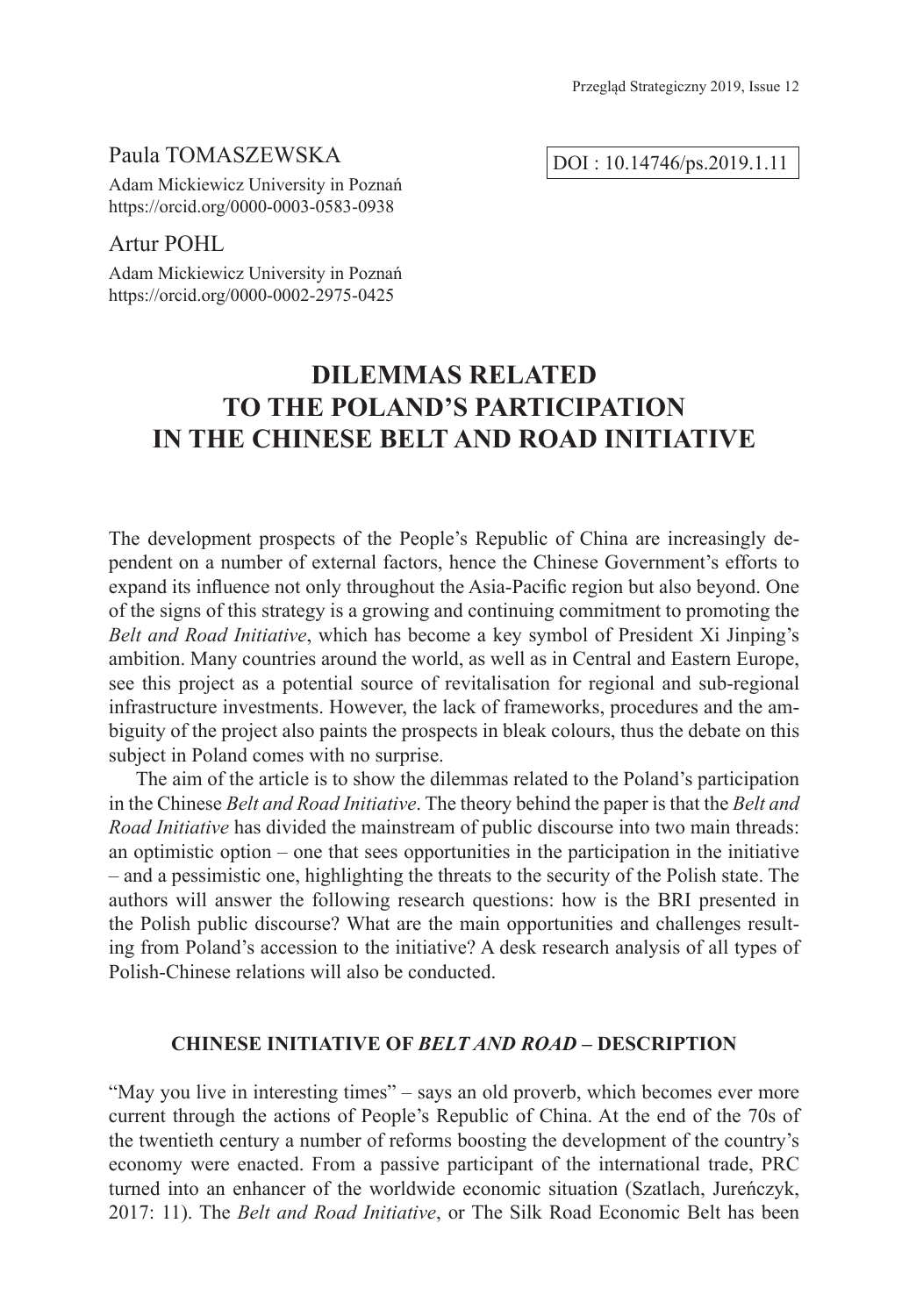### Paula TOMASZEWSKA

Adam Mickiewicz University in Poznań https://orcid.org/0000-0003-0583-0938

## Artur POHL

Adam Mickiewicz University in Poznań https://orcid.org/0000-0002-2975-0425

# **DILEMMAS RELATED TO THE POLAND'S PARTICIPATION IN THE CHINESE BELT AND ROAD INITIATIVE**

The development prospects of the People's Republic of China are increasingly dependent on a number of external factors, hence the Chinese Government's efforts to expand its influence not only throughout the Asia-Pacific region but also beyond. One of the signs of this strategy is a growing and continuing commitment to promoting the *Belt and Road Initiative*, which has become a key symbol of President Xi Jinping's ambition. Many countries around the world, as well as in Central and Eastern Europe, see this project as a potential source of revitalisation for regional and sub-regional infrastructure investments. However, the lack of frameworks, procedures and the ambiguity of the project also paints the prospects in bleak colours, thus the debate on this subject in Poland comes with no surprise.

The aim of the article is to show the dilemmas related to the Poland's participation in the Chinese *Belt and Road Initiative*. The theory behind the paper is that the *Belt and Road Initiative* has divided the mainstream of public discourse into two main threads: an optimistic option – one that sees opportunities in the participation in the initiative – and a pessimistic one, highlighting the threats to the security of the Polish state. The authors will answer the following research questions: how is the BRI presented in the Polish public discourse? What are the main opportunities and challenges resulting from Poland's accession to the initiative? A desk research analysis of all types of Polish-Chinese relations will also be conducted.

#### **CHINESE INITIATIVE OF** *BELT AND ROAD* **– DESCRIPTION**

"May you live in interesting times" – says an old proverb, which becomes ever more current through the actions of People's Republic of China. At the end of the 70s of the twentieth century a number of reforms boosting the development of the country's economy were enacted. From a passive participant of the international trade, PRC turned into an enhancer of the worldwide economic situation (Szatlach, Jureńczyk, 2017: 11). The *Belt and Road Initiative*, or The Silk Road Economic Belt has been

DOI : 10.14746/ps.2019.1.11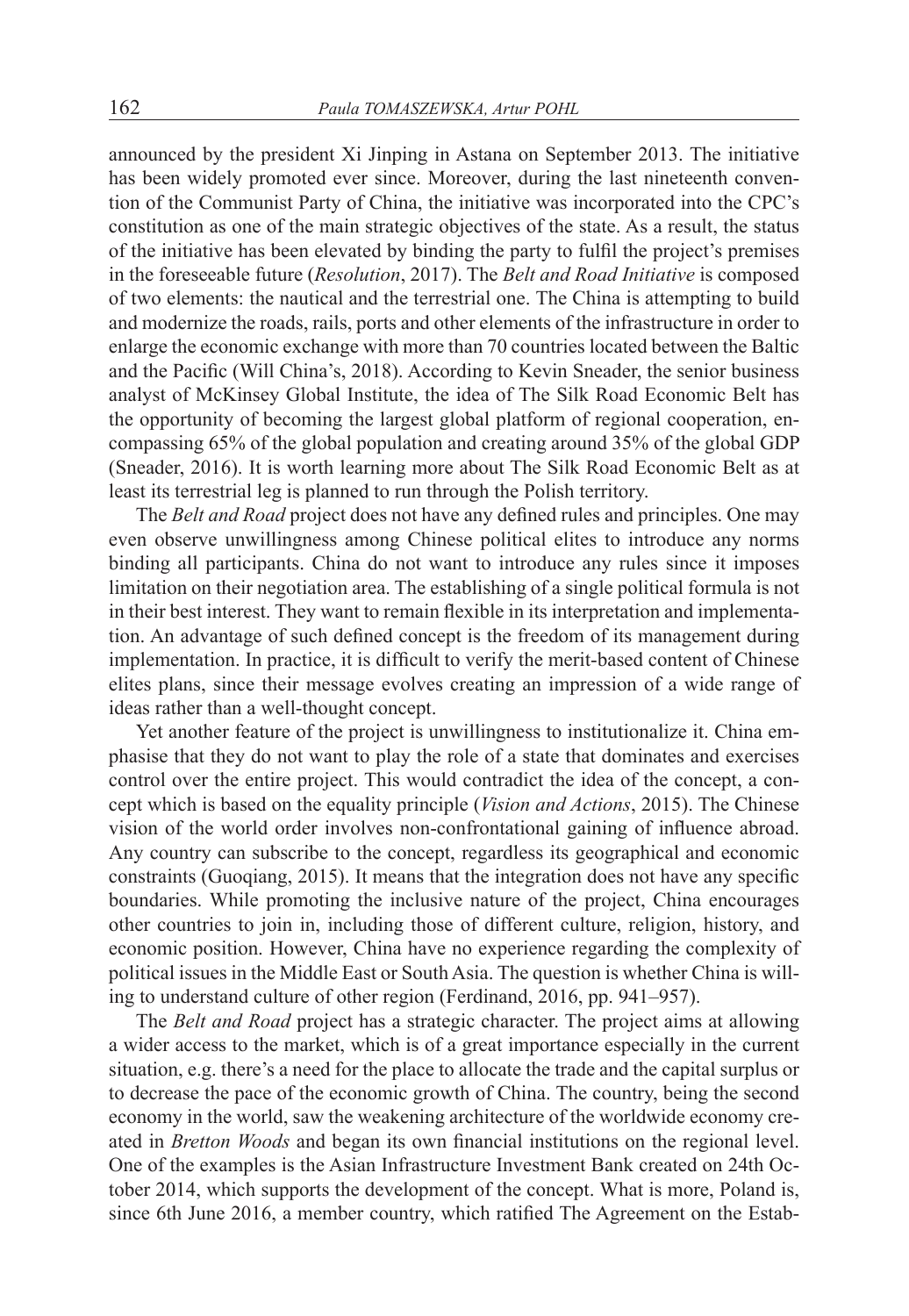announced by the president Xi Jinping in Astana on September 2013. The initiative has been widely promoted ever since. Moreover, during the last nineteenth convention of the Communist Party of China, the initiative was incorporated into the CPC's constitution as one of the main strategic objectives of the state. As a result, the status of the initiative has been elevated by binding the party to fulfil the project's premises in the foreseeable future (*Resolution*, 2017). The *Belt and Road Initiative* is composed of two elements: the nautical and the terrestrial one. The China is attempting to build and modernize the roads, rails, ports and other elements of the infrastructure in order to enlarge the economic exchange with more than 70 countries located between the Baltic and the Pacific (Will China's, 2018). According to Kevin Sneader, the senior business analyst of McKinsey Global Institute, the idea of The Silk Road Economic Belt has the opportunity of becoming the largest global platform of regional cooperation, encompassing 65% of the global population and creating around 35% of the global GDP (Sneader, 2016). It is worth learning more about The Silk Road Economic Belt as at least its terrestrial leg is planned to run through the Polish territory.

The *Belt and Road* project does not have any defined rules and principles. One may even observe unwillingness among Chinese political elites to introduce any norms binding all participants. China do not want to introduce any rules since it imposes limitation on their negotiation area. The establishing of a single political formula is not in their best interest. They want to remain flexible in its interpretation and implementation. An advantage of such defined concept is the freedom of its management during implementation. In practice, it is difficult to verify the merit-based content of Chinese elites plans, since their message evolves creating an impression of a wide range of ideas rather than a well-thought concept.

Yet another feature of the project is unwillingness to institutionalize it. China emphasise that they do not want to play the role of a state that dominates and exercises control over the entire project. This would contradict the idea of the concept, a concept which is based on the equality principle (*Vision and Actions*, 2015). The Chinese vision of the world order involves non-confrontational gaining of influence abroad. Any country can subscribe to the concept, regardless its geographical and economic constraints (Guoqiang, 2015). It means that the integration does not have any specific boundaries. While promoting the inclusive nature of the project, China encourages other countries to join in, including those of different culture, religion, history, and economic position. However, China have no experience regarding the complexity of political issues in the Middle East or South Asia. The question is whether China is willing to understand culture of other region (Ferdinand, 2016, pp. 941–957).

The *Belt and Road* project has a strategic character. The project aims at allowing a wider access to the market, which is of a great importance especially in the current situation, e.g. there's a need for the place to allocate the trade and the capital surplus or to decrease the pace of the economic growth of China. The country, being the second economy in the world, saw the weakening architecture of the worldwide economy created in *Bretton Woods* and began its own financial institutions on the regional level. One of the examples is the Asian Infrastructure Investment Bank created on 24th October 2014, which supports the development of the concept. What is more, Poland is, since 6th June 2016, a member country, which ratified The Agreement on the Estab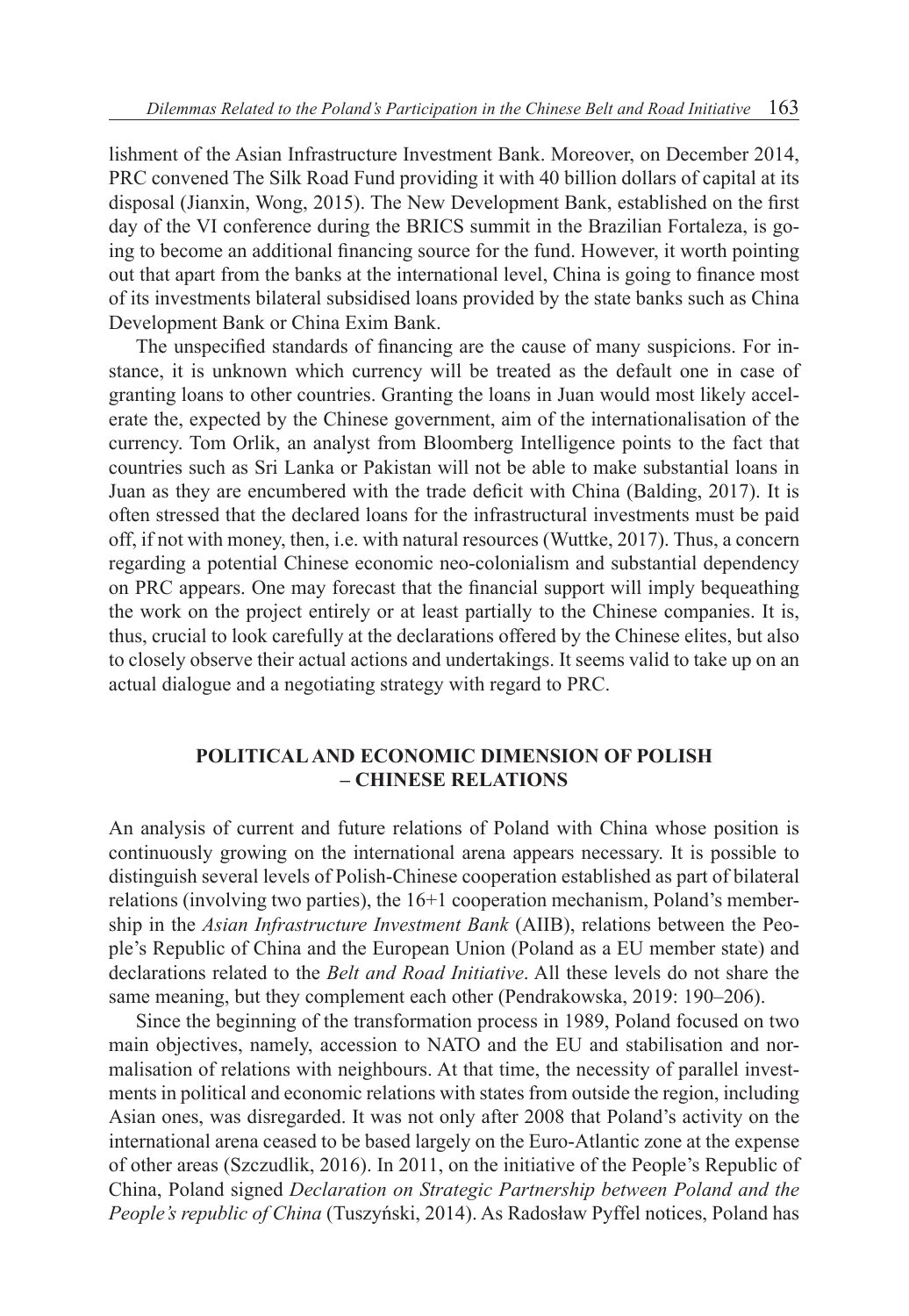lishment of the Asian Infrastructure Investment Bank. Moreover, on December 2014, PRC convened The Silk Road Fund providing it with 40 billion dollars of capital at its disposal (Jianxin, Wong, 2015). The New Development Bank, established on the first day of the VI conference during the BRICS summit in the Brazilian Fortaleza, is going to become an additional financing source for the fund. However, it worth pointing out that apart from the banks at the international level, China is going to finance most of its investments bilateral subsidised loans provided by the state banks such as China Development Bank or China Exim Bank.

The unspecified standards of financing are the cause of many suspicions. For instance, it is unknown which currency will be treated as the default one in case of granting loans to other countries. Granting the loans in Juan would most likely accelerate the, expected by the Chinese government, aim of the internationalisation of the currency. Tom Orlik, an analyst from Bloomberg Intelligence points to the fact that countries such as Sri Lanka or Pakistan will not be able to make substantial loans in Juan as they are encumbered with the trade deficit with China (Balding, 2017). It is often stressed that the declared loans for the infrastructural investments must be paid off, if not with money, then, i.e. with natural resources (Wuttke, 2017). Thus, a concern regarding a potential Chinese economic neo-colonialism and substantial dependency on PRC appears. One may forecast that the financial support will imply bequeathing the work on the project entirely or at least partially to the Chinese companies. It is, thus, crucial to look carefully at the declarations offered by the Chinese elites, but also to closely observe their actual actions and undertakings. It seems valid to take up on an actual dialogue and a negotiating strategy with regard to PRC.

### **POLITICAL AND ECONOMIC DIMENSION OF POLISH – CHINESE RELATIONS**

An analysis of current and future relations of Poland with China whose position is continuously growing on the international arena appears necessary. It is possible to distinguish several levels of Polish-Chinese cooperation established as part of bilateral relations (involving two parties), the 16+1 cooperation mechanism, Poland's membership in the *Asian Infrastructure Investment Bank* (AIIB), relations between the People's Republic of China and the European Union (Poland as a EU member state) and declarations related to the *Belt and Road Initiative*. All these levels do not share the same meaning, but they complement each other (Pendrakowska, 2019: 190–206).

Since the beginning of the transformation process in 1989, Poland focused on two main objectives, namely, accession to NATO and the EU and stabilisation and normalisation of relations with neighbours. At that time, the necessity of parallel investments in political and economic relations with states from outside the region, including Asian ones, was disregarded. It was not only after 2008 that Poland's activity on the international arena ceased to be based largely on the Euro-Atlantic zone at the expense of other areas (Szczudlik, 2016). In 2011, on the initiative of the People's Republic of China, Poland signed *Declaration on Strategic Partnership between Poland and the People's republic of China* (Tuszyński, 2014). As Radosław Pyffel notices, Poland has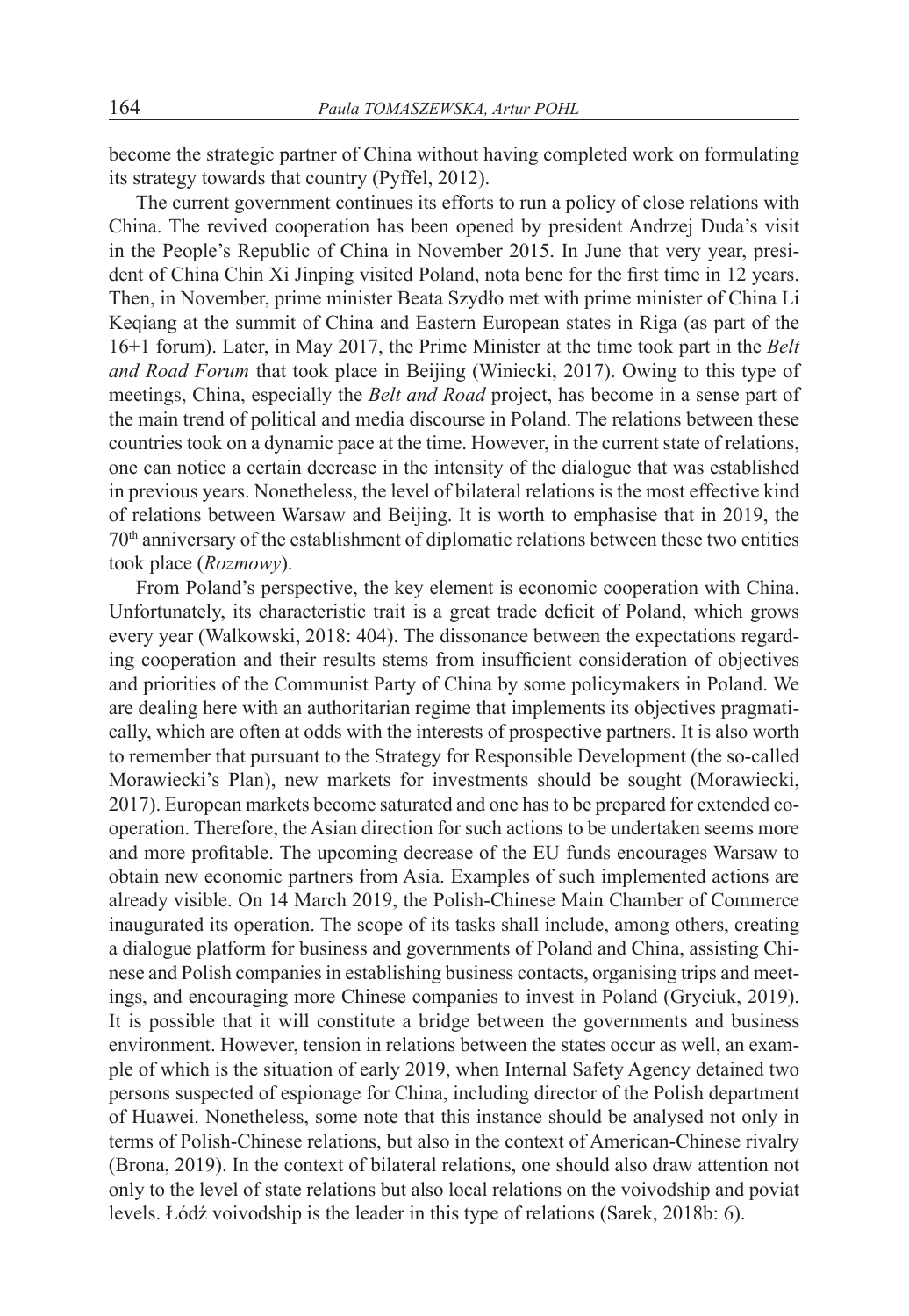become the strategic partner of China without having completed work on formulating its strategy towards that country (Pyffel, 2012).

The current government continues its efforts to run a policy of close relations with China. The revived cooperation has been opened by president Andrzej Duda's visit in the People's Republic of China in November 2015. In June that very year, president of China Chin Xi Jinping visited Poland, nota bene for the first time in 12 years. Then, in November, prime minister Beata Szydło met with prime minister of China Li Keqiang at the summit of China and Eastern European states in Riga (as part of the 16+1 forum). Later, in May 2017, the Prime Minister at the time took part in the *Belt and Road Forum* that took place in Beijing (Winiecki, 2017). Owing to this type of meetings, China, especially the *Belt and Road* project, has become in a sense part of the main trend of political and media discourse in Poland. The relations between these countries took on a dynamic pace at the time. However, in the current state of relations, one can notice a certain decrease in the intensity of the dialogue that was established in previous years. Nonetheless, the level of bilateral relations is the most effective kind of relations between Warsaw and Beijing. It is worth to emphasise that in 2019, the 70th anniversary of the establishment of diplomatic relations between these two entities took place (*Rozmowy*).

From Poland's perspective, the key element is economic cooperation with China. Unfortunately, its characteristic trait is a great trade deficit of Poland, which grows every year (Walkowski, 2018: 404). The dissonance between the expectations regarding cooperation and their results stems from insufficient consideration of objectives and priorities of the Communist Party of China by some policymakers in Poland. We are dealing here with an authoritarian regime that implements its objectives pragmatically, which are often at odds with the interests of prospective partners. It is also worth to remember that pursuant to the Strategy for Responsible Development (the so-called Morawiecki's Plan), new markets for investments should be sought (Morawiecki, 2017). European markets become saturated and one has to be prepared for extended cooperation. Therefore, the Asian direction for such actions to be undertaken seems more and more profitable. The upcoming decrease of the EU funds encourages Warsaw to obtain new economic partners from Asia. Examples of such implemented actions are already visible. On 14 March 2019, the Polish-Chinese Main Chamber of Commerce inaugurated its operation. The scope of its tasks shall include, among others, creating a dialogue platform for business and governments of Poland and China, assisting Chinese and Polish companies in establishing business contacts, organising trips and meetings, and encouraging more Chinese companies to invest in Poland (Gryciuk, 2019). It is possible that it will constitute a bridge between the governments and business environment. However, tension in relations between the states occur as well, an example of which is the situation of early 2019, when Internal Safety Agency detained two persons suspected of espionage for China, including director of the Polish department of Huawei. Nonetheless, some note that this instance should be analysed not only in terms of Polish-Chinese relations, but also in the context of American-Chinese rivalry (Brona, 2019). In the context of bilateral relations, one should also draw attention not only to the level of state relations but also local relations on the voivodship and poviat levels. Łódź voivodship is the leader in this type of relations (Sarek, 2018b: 6).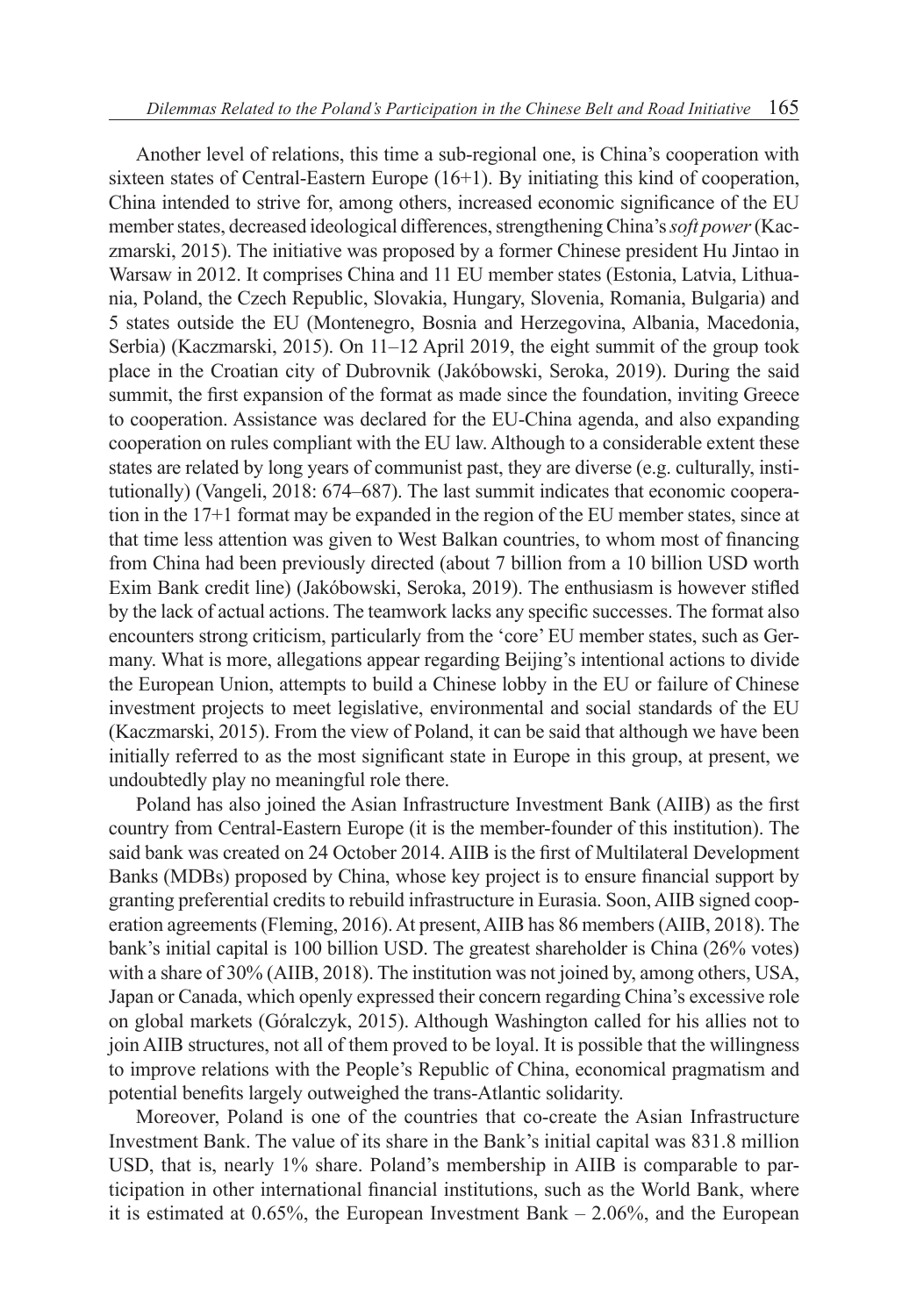Another level of relations, this time a sub-regional one, is China's cooperation with sixteen states of Central-Eastern Europe (16+1). By initiating this kind of cooperation, China intended to strive for, among others, increased economic significance of the EU member states, decreased ideological differences, strengthening China's *soft power* (Kaczmarski, 2015). The initiative was proposed by a former Chinese president Hu Jintao in Warsaw in 2012. It comprises China and 11 EU member states (Estonia, Latvia, Lithuania, Poland, the Czech Republic, Slovakia, Hungary, Slovenia, Romania, Bulgaria) and 5 states outside the EU (Montenegro, Bosnia and Herzegovina, Albania, Macedonia, Serbia) (Kaczmarski, 2015). On 11–12 April 2019, the eight summit of the group took place in the Croatian city of Dubrovnik (Jakóbowski, Seroka, 2019). During the said summit, the first expansion of the format as made since the foundation, inviting Greece to cooperation. Assistance was declared for the EU-China agenda, and also expanding cooperation on rules compliant with the EU law. Although to a considerable extent these states are related by long years of communist past, they are diverse (e.g. culturally, institutionally) (Vangeli, 2018: 674–687). The last summit indicates that economic cooperation in the 17+1 format may be expanded in the region of the EU member states, since at that time less attention was given to West Balkan countries, to whom most of financing from China had been previously directed (about 7 billion from a 10 billion USD worth Exim Bank credit line) (Jakóbowski, Seroka, 2019). The enthusiasm is however stifled by the lack of actual actions. The teamwork lacks any specific successes. The format also encounters strong criticism, particularly from the 'core' EU member states, such as Germany. What is more, allegations appear regarding Beijing's intentional actions to divide the European Union, attempts to build a Chinese lobby in the EU or failure of Chinese investment projects to meet legislative, environmental and social standards of the EU (Kaczmarski, 2015). From the view of Poland, it can be said that although we have been initially referred to as the most significant state in Europe in this group, at present, we undoubtedly play no meaningful role there.

Poland has also joined the Asian Infrastructure Investment Bank (AIIB) as the first country from Central-Eastern Europe (it is the member-founder of this institution). The said bank was created on 24 October 2014. AIIB is the first of Multilateral Development Banks (MDBs) proposed by China, whose key project is to ensure financial support by granting preferential credits to rebuild infrastructure in Eurasia. Soon, AIIB signed cooperation agreements (Fleming, 2016). At present, AIIB has 86 members (AIIB, 2018). The bank's initial capital is 100 billion USD. The greatest shareholder is China (26% votes) with a share of 30% (AIIB, 2018). The institution was not joined by, among others, USA, Japan or Canada, which openly expressed their concern regarding China's excessive role on global markets (Góralczyk, 2015). Although Washington called for his allies not to join AIIB structures, not all of them proved to be loyal. It is possible that the willingness to improve relations with the People's Republic of China, economical pragmatism and potential benefits largely outweighed the trans-Atlantic solidarity.

Moreover, Poland is one of the countries that co-create the Asian Infrastructure Investment Bank. The value of its share in the Bank's initial capital was 831.8 million USD, that is, nearly 1% share. Poland's membership in AIIB is comparable to participation in other international financial institutions, such as the World Bank, where it is estimated at  $0.65\%$ , the European Investment Bank  $-2.06\%$ , and the European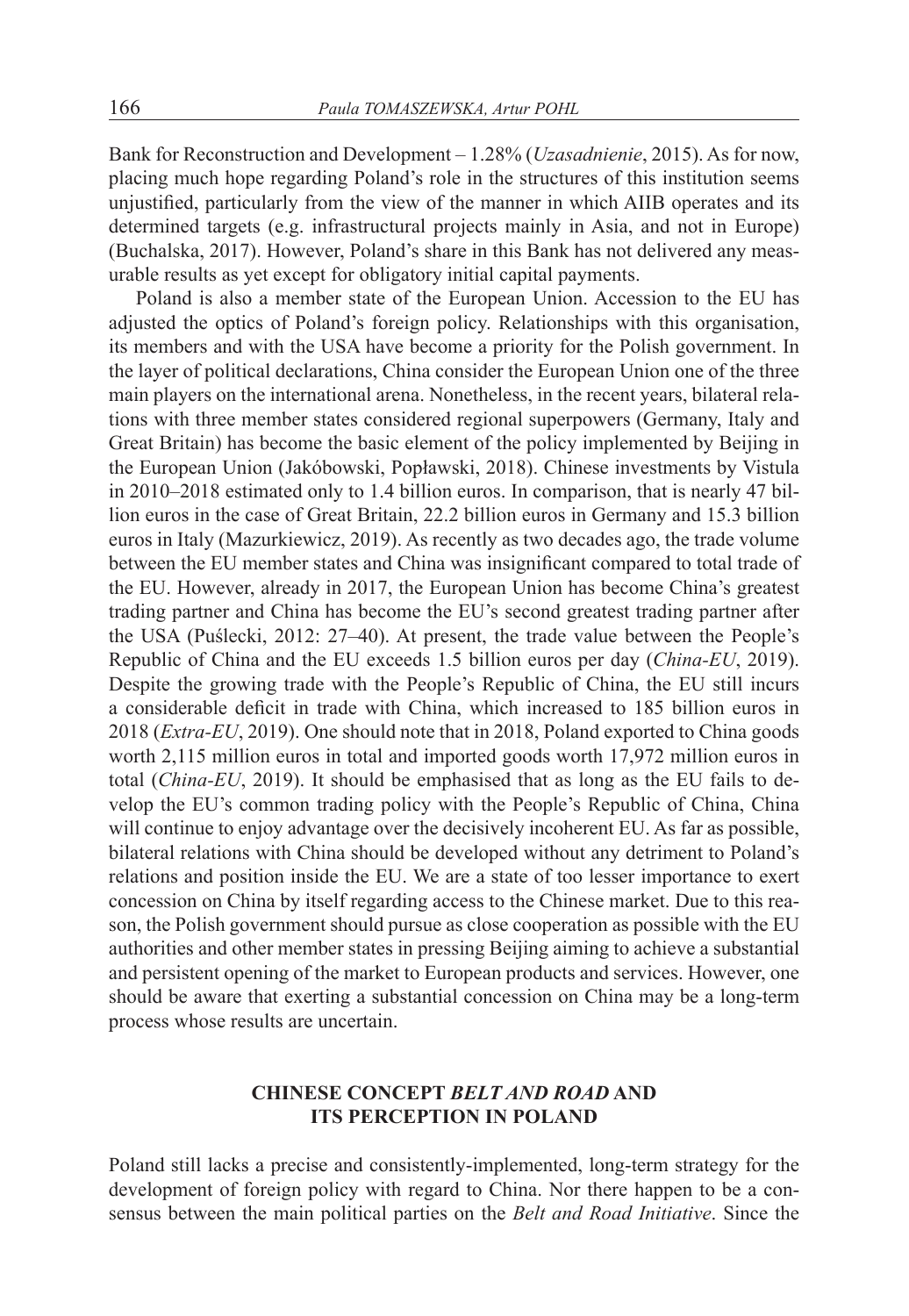Bank for Reconstruction and Development – 1.28% (*Uzasadnienie*, 2015). As for now, placing much hope regarding Poland's role in the structures of this institution seems unjustified, particularly from the view of the manner in which AIIB operates and its determined targets (e.g. infrastructural projects mainly in Asia, and not in Europe) (Buchalska, 2017). However, Poland's share in this Bank has not delivered any measurable results as yet except for obligatory initial capital payments.

Poland is also a member state of the European Union. Accession to the EU has adjusted the optics of Poland's foreign policy. Relationships with this organisation, its members and with the USA have become a priority for the Polish government. In the layer of political declarations, China consider the European Union one of the three main players on the international arena. Nonetheless, in the recent years, bilateral relations with three member states considered regional superpowers (Germany, Italy and Great Britain) has become the basic element of the policy implemented by Beijing in the European Union (Jakóbowski, Popławski, 2018). Chinese investments by Vistula in 2010–2018 estimated only to 1.4 billion euros. In comparison, that is nearly 47 billion euros in the case of Great Britain, 22.2 billion euros in Germany and 15.3 billion euros in Italy (Mazurkiewicz, 2019). As recently as two decades ago, the trade volume between the EU member states and China was insignificant compared to total trade of the EU. However, already in 2017, the European Union has become China's greatest trading partner and China has become the EU's second greatest trading partner after the USA (Puślecki, 2012: 27–40). At present, the trade value between the People's Republic of China and the EU exceeds 1.5 billion euros per day (*China-EU*, 2019). Despite the growing trade with the People's Republic of China, the EU still incurs a considerable deficit in trade with China, which increased to 185 billion euros in 2018 (*Extra-EU*, 2019). One should note that in 2018, Poland exported to China goods worth 2,115 million euros in total and imported goods worth 17,972 million euros in total (*China-EU*, 2019). It should be emphasised that as long as the EU fails to develop the EU's common trading policy with the People's Republic of China, China will continue to enjoy advantage over the decisively incoherent EU. As far as possible, bilateral relations with China should be developed without any detriment to Poland's relations and position inside the EU. We are a state of too lesser importance to exert concession on China by itself regarding access to the Chinese market. Due to this reason, the Polish government should pursue as close cooperation as possible with the EU authorities and other member states in pressing Beijing aiming to achieve a substantial and persistent opening of the market to European products and services. However, one should be aware that exerting a substantial concession on China may be a long-term process whose results are uncertain.

## **CHINESE CONCEPT** *BELT AND ROAD* **AND ITS PERCEPTION IN POLAND**

Poland still lacks a precise and consistently-implemented, long-term strategy for the development of foreign policy with regard to China. Nor there happen to be a consensus between the main political parties on the *Belt and Road Initiative*. Since the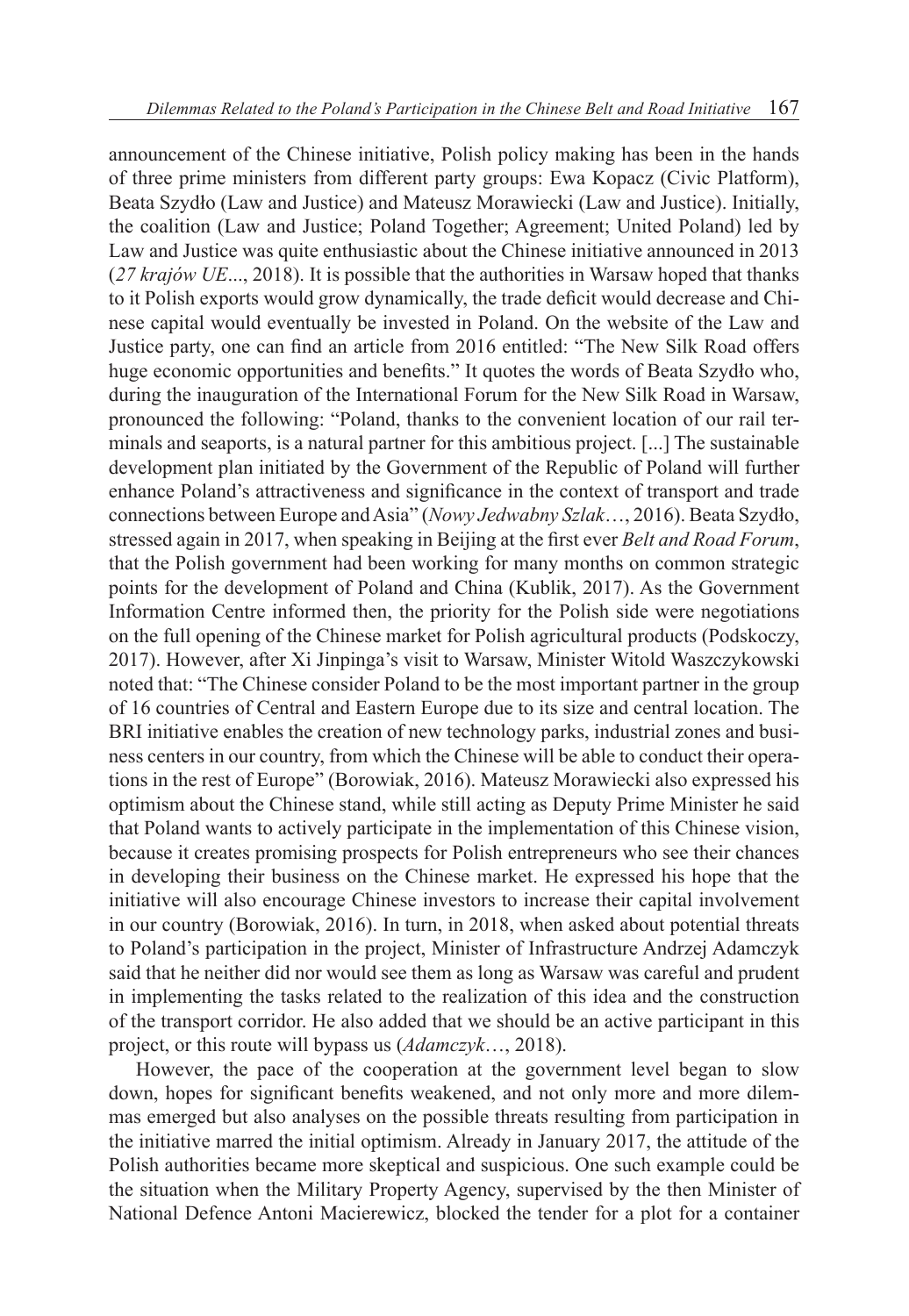announcement of the Chinese initiative, Polish policy making has been in the hands of three prime ministers from different party groups: Ewa Kopacz (Civic Platform), Beata Szydło (Law and Justice) and Mateusz Morawiecki (Law and Justice). Initially, the coalition (Law and Justice; Poland Together; Agreement; United Poland) led by Law and Justice was quite enthusiastic about the Chinese initiative announced in 2013 (*27 krajów UE*..., 2018). It is possible that the authorities in Warsaw hoped that thanks to it Polish exports would grow dynamically, the trade deficit would decrease and Chinese capital would eventually be invested in Poland. On the website of the Law and Justice party, one can find an article from 2016 entitled: "The New Silk Road offers huge economic opportunities and benefits." It quotes the words of Beata Szydło who, during the inauguration of the International Forum for the New Silk Road in Warsaw, pronounced the following: "Poland, thanks to the convenient location of our rail terminals and seaports, is a natural partner for this ambitious project. [...] The sustainable development plan initiated by the Government of the Republic of Poland will further enhance Poland's attractiveness and significance in the context of transport and trade connections between Europe and Asia" (*Nowy Jedwabny Szlak*…, 2016). Beata Szydło, stressed again in 2017, when speaking in Beijing at the first ever *Belt and Road Forum*, that the Polish government had been working for many months on common strategic points for the development of Poland and China (Kublik, 2017). As the Government Information Centre informed then, the priority for the Polish side were negotiations on the full opening of the Chinese market for Polish agricultural products (Podskoczy, 2017). However, after Xi Jinpinga's visit to Warsaw, Minister Witold Waszczykowski noted that: "The Chinese consider Poland to be the most important partner in the group of 16 countries of Central and Eastern Europe due to its size and central location. The BRI initiative enables the creation of new technology parks, industrial zones and business centers in our country, from which the Chinese will be able to conduct their operations in the rest of Europe" (Borowiak, 2016). Mateusz Morawiecki also expressed his optimism about the Chinese stand, while still acting as Deputy Prime Minister he said that Poland wants to actively participate in the implementation of this Chinese vision, because it creates promising prospects for Polish entrepreneurs who see their chances in developing their business on the Chinese market. He expressed his hope that the initiative will also encourage Chinese investors to increase their capital involvement in our country (Borowiak, 2016). In turn, in 2018, when asked about potential threats to Poland's participation in the project, Minister of Infrastructure Andrzej Adamczyk said that he neither did nor would see them as long as Warsaw was careful and prudent in implementing the tasks related to the realization of this idea and the construction of the transport corridor. He also added that we should be an active participant in this project, or this route will bypass us (*Adamczyk*…, 2018).

However, the pace of the cooperation at the government level began to slow down, hopes for significant benefits weakened, and not only more and more dilemmas emerged but also analyses on the possible threats resulting from participation in the initiative marred the initial optimism. Already in January 2017, the attitude of the Polish authorities became more skeptical and suspicious. One such example could be the situation when the Military Property Agency, supervised by the then Minister of National Defence Antoni Macierewicz, blocked the tender for a plot for a container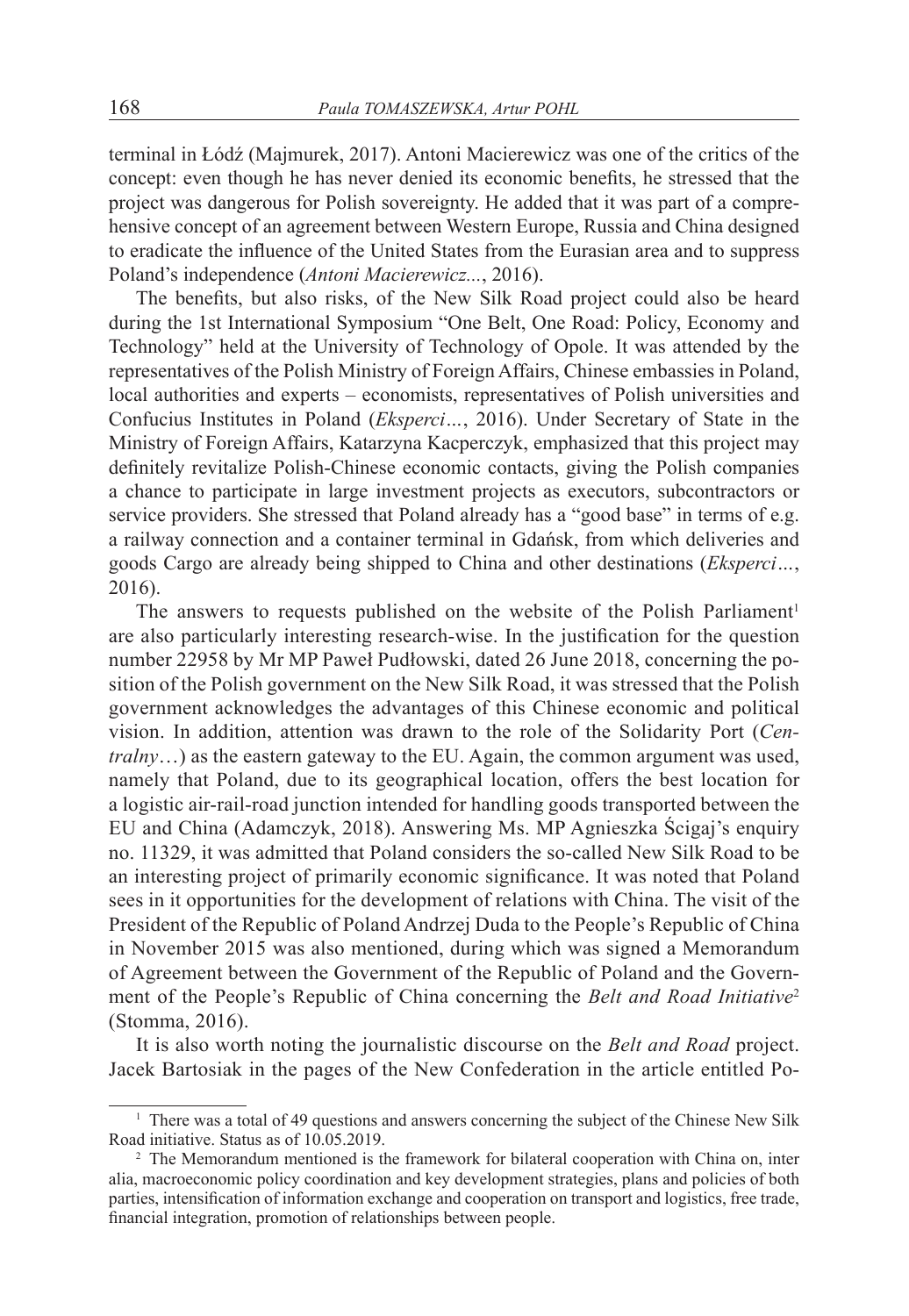terminal in Łódź (Majmurek, 2017). Antoni Macierewicz was one of the critics of the concept: even though he has never denied its economic benefits, he stressed that the project was dangerous for Polish sovereignty. He added that it was part of a comprehensive concept of an agreement between Western Europe, Russia and China designed to eradicate the influence of the United States from the Eurasian area and to suppress Poland's independence (*Antoni Macierewicz...*, 2016).

The benefits, but also risks, of the New Silk Road project could also be heard during the 1st International Symposium "One Belt, One Road: Policy, Economy and Technology" held at the University of Technology of Opole. It was attended by the representatives of the Polish Ministry of Foreign Affairs, Chinese embassies in Poland, local authorities and experts – economists, representatives of Polish universities and Confucius Institutes in Poland (*Eksperci…*, 2016). Under Secretary of State in the Ministry of Foreign Affairs, Katarzyna Kacperczyk, emphasized that this project may definitely revitalize Polish-Chinese economic contacts, giving the Polish companies a chance to participate in large investment projects as executors, subcontractors or service providers. She stressed that Poland already has a "good base" in terms of e.g. a railway connection and a container terminal in Gdańsk, from which deliveries and goods Cargo are already being shipped to China and other destinations (*Eksperci…*, 2016).

The answers to requests published on the website of the Polish Parliament<sup>1</sup> are also particularly interesting research-wise. In the justification for the question number 22958 by Mr MP Paweł Pudłowski, dated 26 June 2018, concerning the position of the Polish government on the New Silk Road, it was stressed that the Polish government acknowledges the advantages of this Chinese economic and political vision. In addition, attention was drawn to the role of the Solidarity Port (*Centralny*…) as the eastern gateway to the EU. Again, the common argument was used, namely that Poland, due to its geographical location, offers the best location for a logistic air-rail-road junction intended for handling goods transported between the EU and China (Adamczyk, 2018). Answering Ms. MP Agnieszka Ścigaj's enquiry no. 11329, it was admitted that Poland considers the so-called New Silk Road to be an interesting project of primarily economic significance. It was noted that Poland sees in it opportunities for the development of relations with China. The visit of the President of the Republic of Poland Andrzej Duda to the People's Republic of China in November 2015 was also mentioned, during which was signed a Memorandum of Agreement between the Government of the Republic of Poland and the Government of the People's Republic of China concerning the *Belt and Road Initiative*<sup>2</sup> (Stomma, 2016).

It is also worth noting the journalistic discourse on the *Belt and Road* project. Jacek Bartosiak in the pages of the New Confederation in the article entitled Po-

<sup>&</sup>lt;sup>1</sup> There was a total of 49 questions and answers concerning the subject of the Chinese New Silk Road initiative. Status as of 10.05.2019.

<sup>&</sup>lt;sup>2</sup> The Memorandum mentioned is the framework for bilateral cooperation with China on, inter alia, macroeconomic policy coordination and key development strategies, plans and policies of both parties, intensification of information exchange and cooperation on transport and logistics, free trade, financial integration, promotion of relationships between people.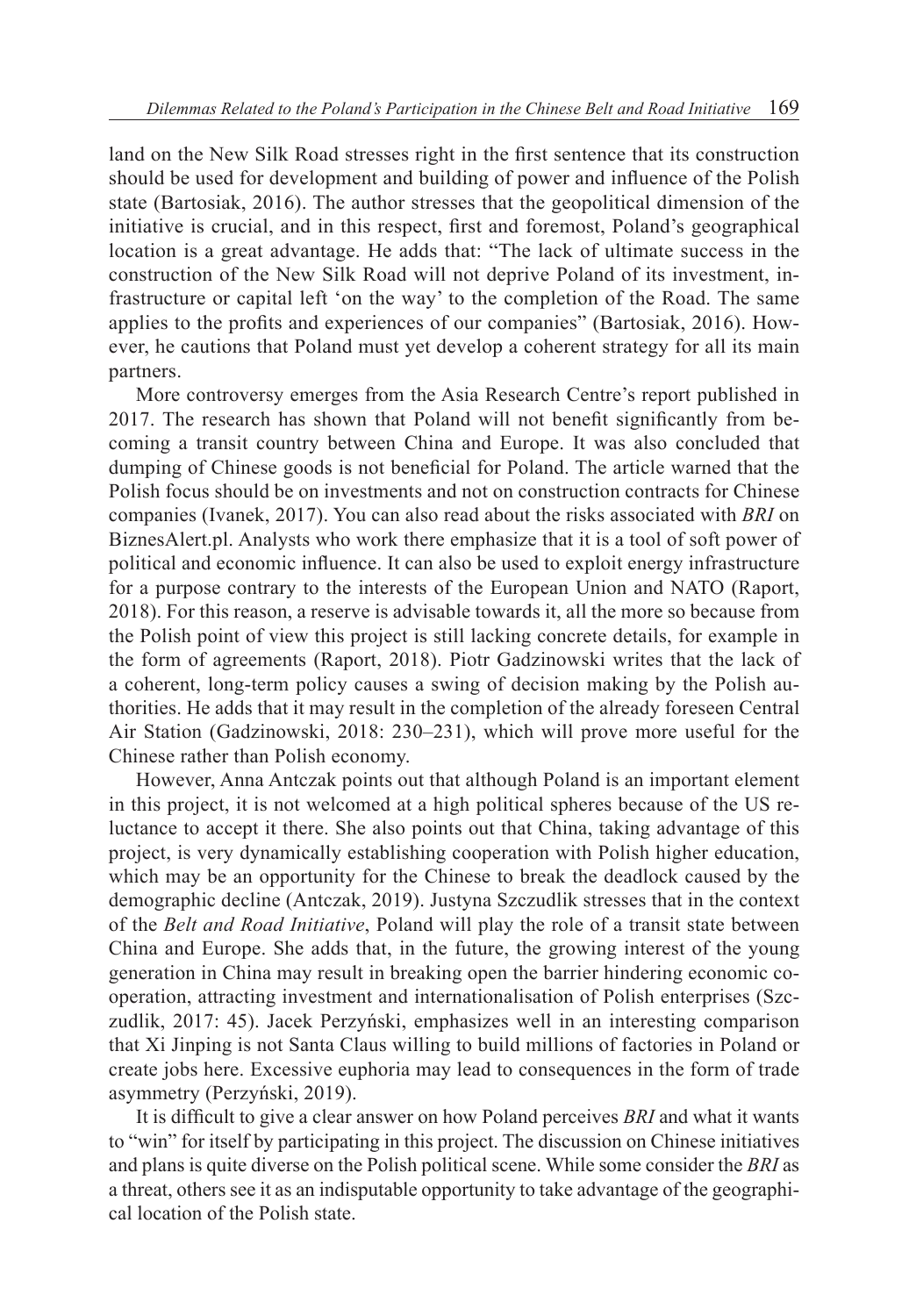land on the New Silk Road stresses right in the first sentence that its construction should be used for development and building of power and influence of the Polish state (Bartosiak, 2016). The author stresses that the geopolitical dimension of the initiative is crucial, and in this respect, first and foremost, Poland's geographical location is a great advantage. He adds that: "The lack of ultimate success in the construction of the New Silk Road will not deprive Poland of its investment, infrastructure or capital left 'on the way' to the completion of the Road. The same applies to the profits and experiences of our companies" (Bartosiak, 2016). However, he cautions that Poland must yet develop a coherent strategy for all its main partners.

More controversy emerges from the Asia Research Centre's report published in 2017. The research has shown that Poland will not benefit significantly from becoming a transit country between China and Europe. It was also concluded that dumping of Chinese goods is not beneficial for Poland. The article warned that the Polish focus should be on investments and not on construction contracts for Chinese companies (Ivanek, 2017). You can also read about the risks associated with *BRI* on BiznesAlert.pl. Analysts who work there emphasize that it is a tool of soft power of political and economic influence. It can also be used to exploit energy infrastructure for a purpose contrary to the interests of the European Union and NATO (Raport, 2018). For this reason, a reserve is advisable towards it, all the more so because from the Polish point of view this project is still lacking concrete details, for example in the form of agreements (Raport, 2018). Piotr Gadzinowski writes that the lack of a coherent, long-term policy causes a swing of decision making by the Polish authorities. He adds that it may result in the completion of the already foreseen Central Air Station (Gadzinowski, 2018: 230–231), which will prove more useful for the Chinese rather than Polish economy.

However, Anna Antczak points out that although Poland is an important element in this project, it is not welcomed at a high political spheres because of the US reluctance to accept it there. She also points out that China, taking advantage of this project, is very dynamically establishing cooperation with Polish higher education, which may be an opportunity for the Chinese to break the deadlock caused by the demographic decline (Antczak, 2019). Justyna Szczudlik stresses that in the context of the *Belt and Road Initiative*, Poland will play the role of a transit state between China and Europe. She adds that, in the future, the growing interest of the young generation in China may result in breaking open the barrier hindering economic cooperation, attracting investment and internationalisation of Polish enterprises (Szczudlik, 2017: 45). Jacek Perzyński, emphasizes well in an interesting comparison that Xi Jinping is not Santa Claus willing to build millions of factories in Poland or create jobs here. Excessive euphoria may lead to consequences in the form of trade asymmetry (Perzyński, 2019).

It is difficult to give a clear answer on how Poland perceives *BRI* and what it wants to "win" for itself by participating in this project. The discussion on Chinese initiatives and plans is quite diverse on the Polish political scene. While some consider the *BRI* as a threat, others see it as an indisputable opportunity to take advantage of the geographical location of the Polish state.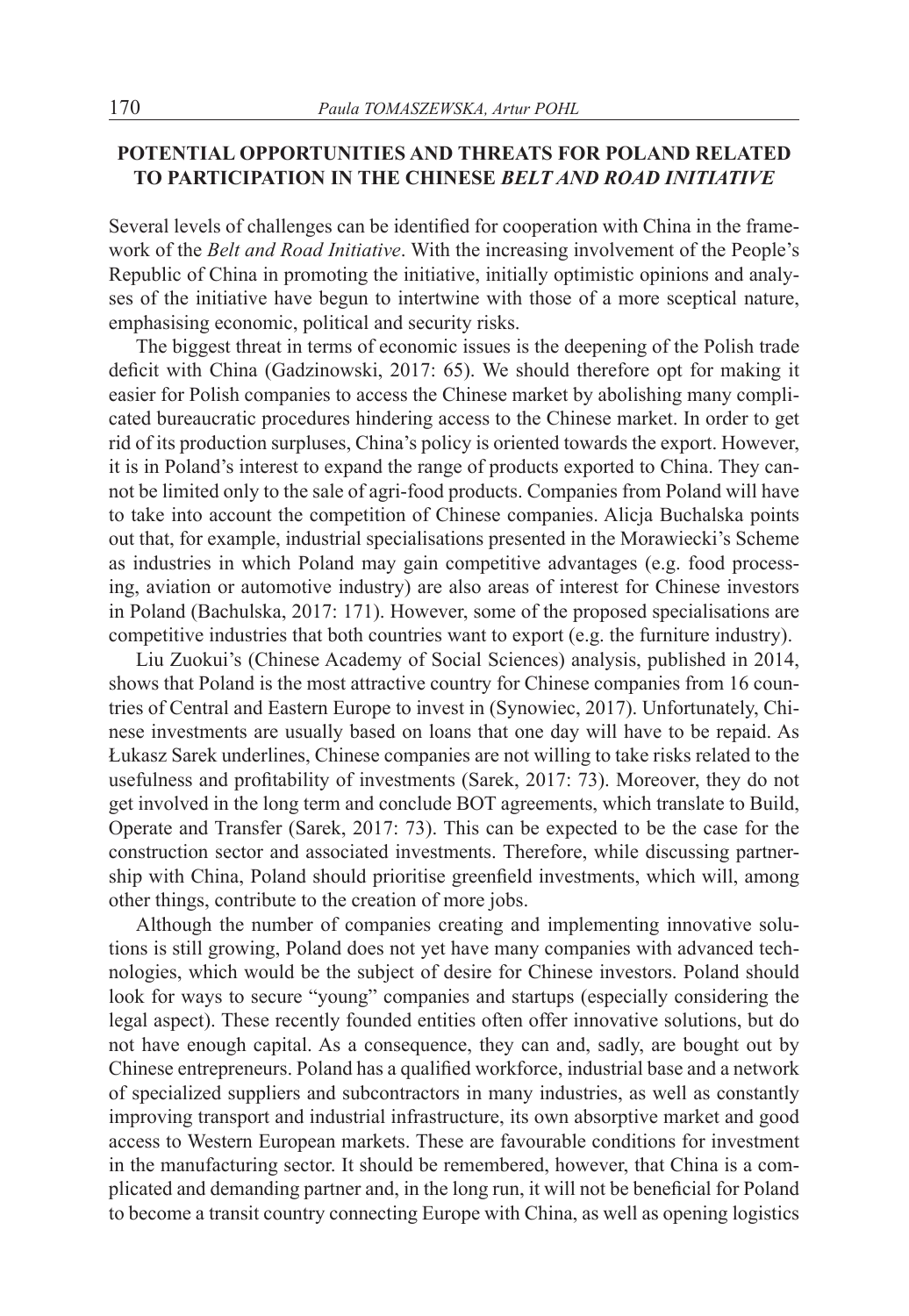#### **POTENTIAL OPPORTUNITIES AND THREATS FOR POLAND RELATED TO PARTICIPATION IN THE CHINESE** *BELT AND ROAD INITIATIVE*

Several levels of challenges can be identified for cooperation with China in the framework of the *Belt and Road Initiative*. With the increasing involvement of the People's Republic of China in promoting the initiative, initially optimistic opinions and analyses of the initiative have begun to intertwine with those of a more sceptical nature, emphasising economic, political and security risks.

The biggest threat in terms of economic issues is the deepening of the Polish trade deficit with China (Gadzinowski, 2017: 65). We should therefore opt for making it easier for Polish companies to access the Chinese market by abolishing many complicated bureaucratic procedures hindering access to the Chinese market. In order to get rid of its production surpluses, China's policy is oriented towards the export. However, it is in Poland's interest to expand the range of products exported to China. They cannot be limited only to the sale of agri-food products. Companies from Poland will have to take into account the competition of Chinese companies. Alicja Buchalska points out that, for example, industrial specialisations presented in the Morawiecki's Scheme as industries in which Poland may gain competitive advantages (e.g. food processing, aviation or automotive industry) are also areas of interest for Chinese investors in Poland (Bachulska, 2017: 171). However, some of the proposed specialisations are competitive industries that both countries want to export (e.g. the furniture industry).

Liu Zuokui's (Chinese Academy of Social Sciences) analysis, published in 2014, shows that Poland is the most attractive country for Chinese companies from 16 countries of Central and Eastern Europe to invest in (Synowiec, 2017). Unfortunately, Chinese investments are usually based on loans that one day will have to be repaid. As Łukasz Sarek underlines, Chinese companies are not willing to take risks related to the usefulness and profitability of investments (Sarek, 2017: 73). Moreover, they do not get involved in the long term and conclude BOT agreements, which translate to Build, Operate and Transfer (Sarek, 2017: 73). This can be expected to be the case for the construction sector and associated investments. Therefore, while discussing partnership with China, Poland should prioritise greenfield investments, which will, among other things, contribute to the creation of more jobs.

Although the number of companies creating and implementing innovative solutions is still growing, Poland does not yet have many companies with advanced technologies, which would be the subject of desire for Chinese investors. Poland should look for ways to secure "young" companies and startups (especially considering the legal aspect). These recently founded entities often offer innovative solutions, but do not have enough capital. As a consequence, they can and, sadly, are bought out by Chinese entrepreneurs. Poland has a qualified workforce, industrial base and a network of specialized suppliers and subcontractors in many industries, as well as constantly improving transport and industrial infrastructure, its own absorptive market and good access to Western European markets. These are favourable conditions for investment in the manufacturing sector. It should be remembered, however, that China is a complicated and demanding partner and, in the long run, it will not be beneficial for Poland to become a transit country connecting Europe with China, as well as opening logistics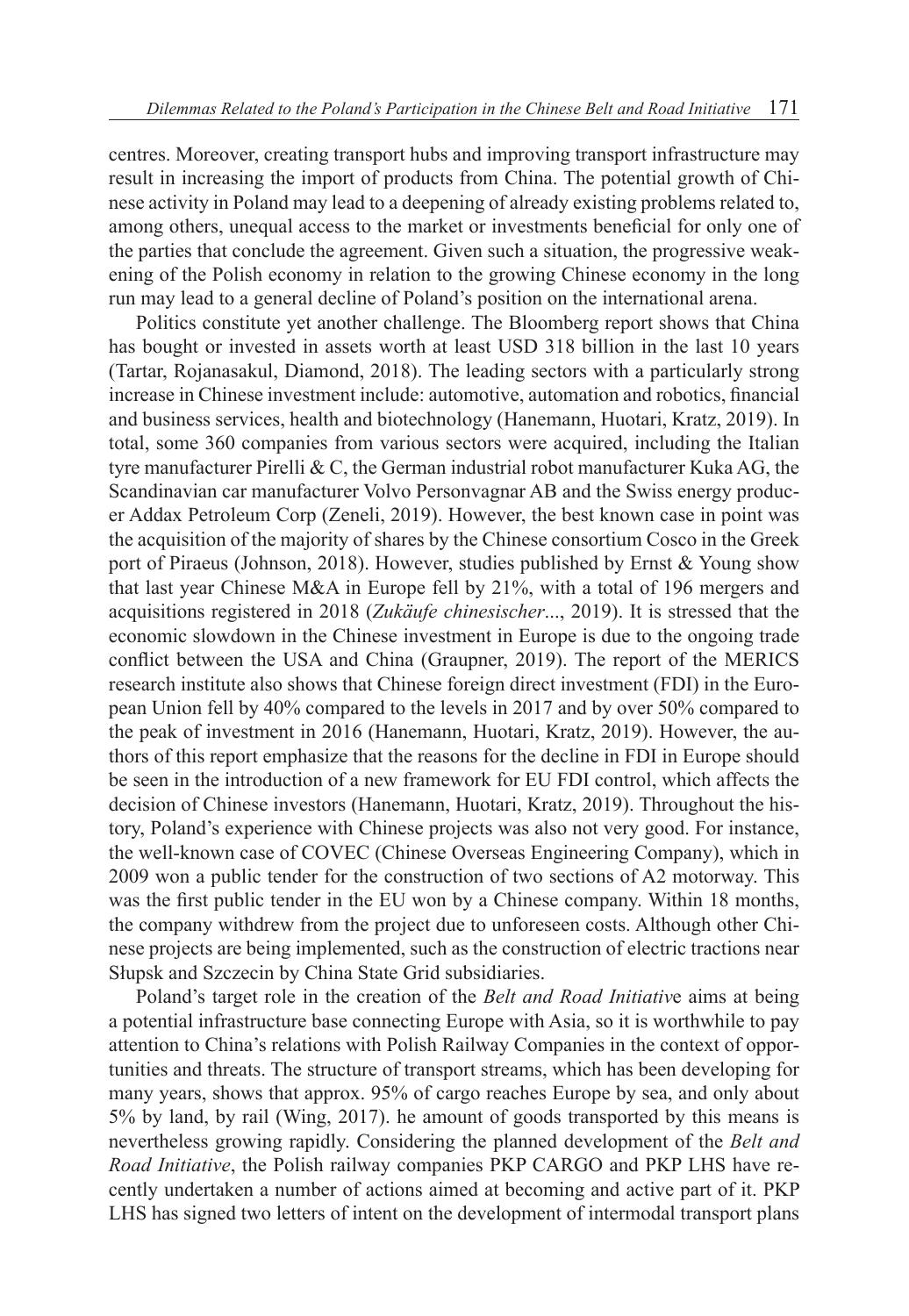centres. Moreover, creating transport hubs and improving transport infrastructure may result in increasing the import of products from China. The potential growth of Chinese activity in Poland may lead to a deepening of already existing problems related to, among others, unequal access to the market or investments beneficial for only one of the parties that conclude the agreement. Given such a situation, the progressive weakening of the Polish economy in relation to the growing Chinese economy in the long run may lead to a general decline of Poland's position on the international arena.

Politics constitute yet another challenge. The Bloomberg report shows that China has bought or invested in assets worth at least USD 318 billion in the last 10 years (Tartar, Rojanasakul, Diamond, 2018). The leading sectors with a particularly strong increase in Chinese investment include: automotive, automation and robotics, financial and business services, health and biotechnology (Hanemann, Huotari, Kratz, 2019). In total, some 360 companies from various sectors were acquired, including the Italian tyre manufacturer Pirelli & C, the German industrial robot manufacturer Kuka AG, the Scandinavian car manufacturer Volvo Personvagnar AB and the Swiss energy producer Addax Petroleum Corp (Zeneli, 2019). However, the best known case in point was the acquisition of the majority of shares by the Chinese consortium Cosco in the Greek port of Piraeus (Johnson, 2018). However, studies published by Ernst & Young show that last year Chinese M&A in Europe fell by 21%, with a total of 196 mergers and acquisitions registered in 2018 (*Zukäufe chinesischer*..., 2019). It is stressed that the economic slowdown in the Chinese investment in Europe is due to the ongoing trade conflict between the USA and China (Graupner, 2019). The report of the MERICS research institute also shows that Chinese foreign direct investment (FDI) in the European Union fell by 40% compared to the levels in 2017 and by over 50% compared to the peak of investment in 2016 (Hanemann, Huotari, Kratz, 2019). However, the authors of this report emphasize that the reasons for the decline in FDI in Europe should be seen in the introduction of a new framework for EU FDI control, which affects the decision of Chinese investors (Hanemann, Huotari, Kratz, 2019). Throughout the history, Poland's experience with Chinese projects was also not very good. For instance, the well-known case of COVEC (Chinese Overseas Engineering Company), which in 2009 won a public tender for the construction of two sections of A2 motorway. This was the first public tender in the EU won by a Chinese company. Within 18 months, the company withdrew from the project due to unforeseen costs. Although other Chinese projects are being implemented, such as the construction of electric tractions near Słupsk and Szczecin by China State Grid subsidiaries.

Poland's target role in the creation of the *Belt and Road Initiativ*e aims at being a potential infrastructure base connecting Europe with Asia, so it is worthwhile to pay attention to China's relations with Polish Railway Companies in the context of opportunities and threats. The structure of transport streams, which has been developing for many years, shows that approx. 95% of cargo reaches Europe by sea, and only about 5% by land, by rail (Wing, 2017). he amount of goods transported by this means is nevertheless growing rapidly. Considering the planned development of the *Belt and Road Initiative*, the Polish railway companies PKP CARGO and PKP LHS have recently undertaken a number of actions aimed at becoming and active part of it. PKP LHS has signed two letters of intent on the development of intermodal transport plans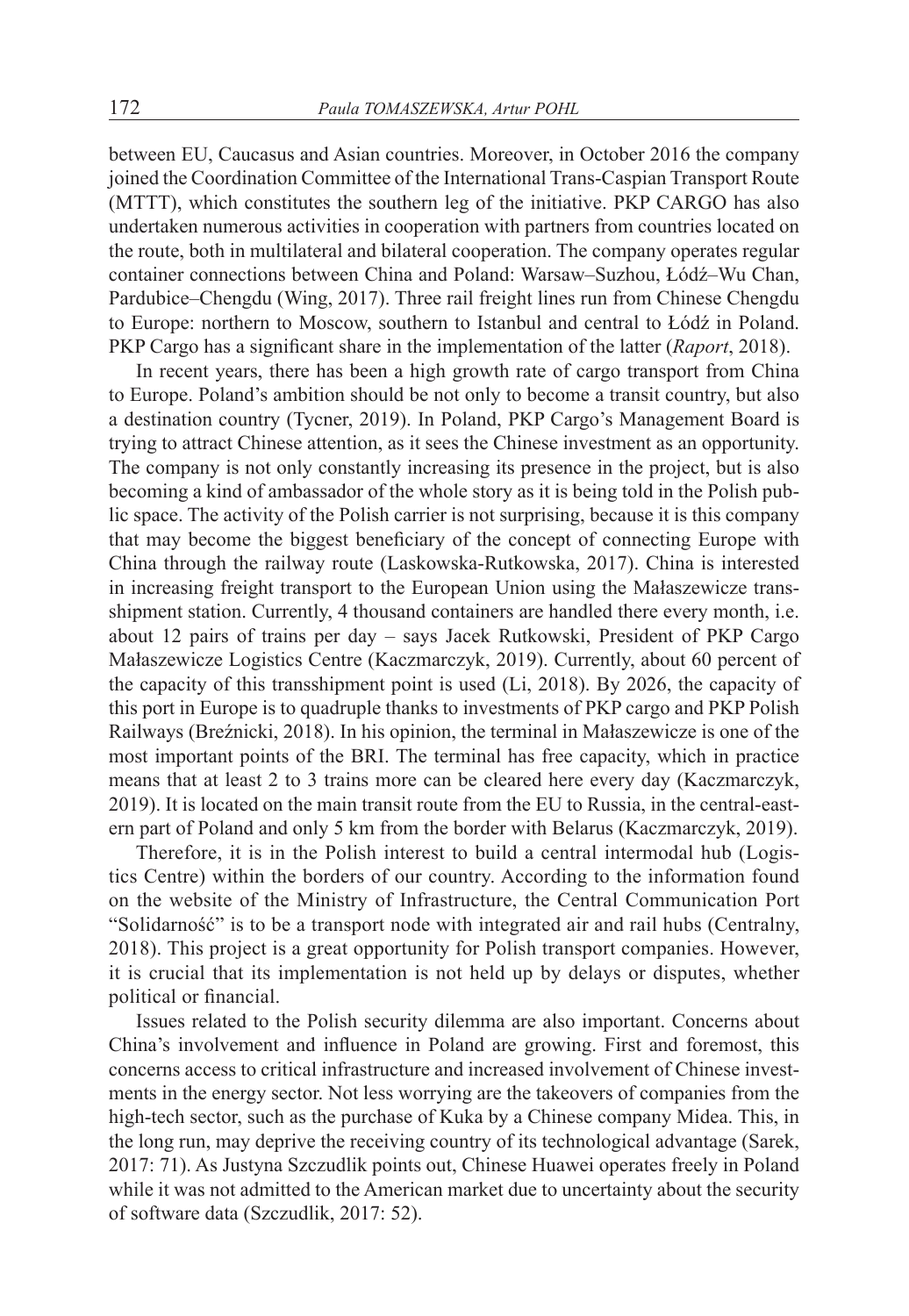between EU, Caucasus and Asian countries. Moreover, in October 2016 the company joined the Coordination Committee of the International Trans-Caspian Transport Route (MTTT), which constitutes the southern leg of the initiative. PKP CARGO has also undertaken numerous activities in cooperation with partners from countries located on the route, both in multilateral and bilateral cooperation. The company operates regular container connections between China and Poland: Warsaw–Suzhou, Łódź–Wu Chan, Pardubice–Chengdu (Wing, 2017). Three rail freight lines run from Chinese Chengdu to Europe: northern to Moscow, southern to Istanbul and central to Łódź in Poland. PKP Cargo has a significant share in the implementation of the latter (*Raport*, 2018).

In recent years, there has been a high growth rate of cargo transport from China to Europe. Poland's ambition should be not only to become a transit country, but also a destination country (Tycner, 2019). In Poland, PKP Cargo's Management Board is trying to attract Chinese attention, as it sees the Chinese investment as an opportunity. The company is not only constantly increasing its presence in the project, but is also becoming a kind of ambassador of the whole story as it is being told in the Polish public space. The activity of the Polish carrier is not surprising, because it is this company that may become the biggest beneficiary of the concept of connecting Europe with China through the railway route (Laskowska-Rutkowska, 2017). China is interested in increasing freight transport to the European Union using the Małaszewicze transshipment station. Currently, 4 thousand containers are handled there every month, i.e. about 12 pairs of trains per day – says Jacek Rutkowski, President of PKP Cargo Małaszewicze Logistics Centre (Kaczmarczyk, 2019). Currently, about 60 percent of the capacity of this transshipment point is used (Li, 2018). By 2026, the capacity of this port in Europe is to quadruple thanks to investments of PKP cargo and PKP Polish Railways (Breźnicki, 2018). In his opinion, the terminal in Małaszewicze is one of the most important points of the BRI. The terminal has free capacity, which in practice means that at least 2 to 3 trains more can be cleared here every day (Kaczmarczyk, 2019). It is located on the main transit route from the EU to Russia, in the central-eastern part of Poland and only 5 km from the border with Belarus (Kaczmarczyk, 2019).

Therefore, it is in the Polish interest to build a central intermodal hub (Logistics Centre) within the borders of our country. According to the information found on the website of the Ministry of Infrastructure, the Central Communication Port "Solidarność" is to be a transport node with integrated air and rail hubs (Centralny, 2018). This project is a great opportunity for Polish transport companies. However, it is crucial that its implementation is not held up by delays or disputes, whether political or financial.

Issues related to the Polish security dilemma are also important. Concerns about China's involvement and influence in Poland are growing. First and foremost, this concerns access to critical infrastructure and increased involvement of Chinese investments in the energy sector. Not less worrying are the takeovers of companies from the high-tech sector, such as the purchase of Kuka by a Chinese company Midea. This, in the long run, may deprive the receiving country of its technological advantage (Sarek, 2017: 71). As Justyna Szczudlik points out, Chinese Huawei operates freely in Poland while it was not admitted to the American market due to uncertainty about the security of software data (Szczudlik, 2017: 52).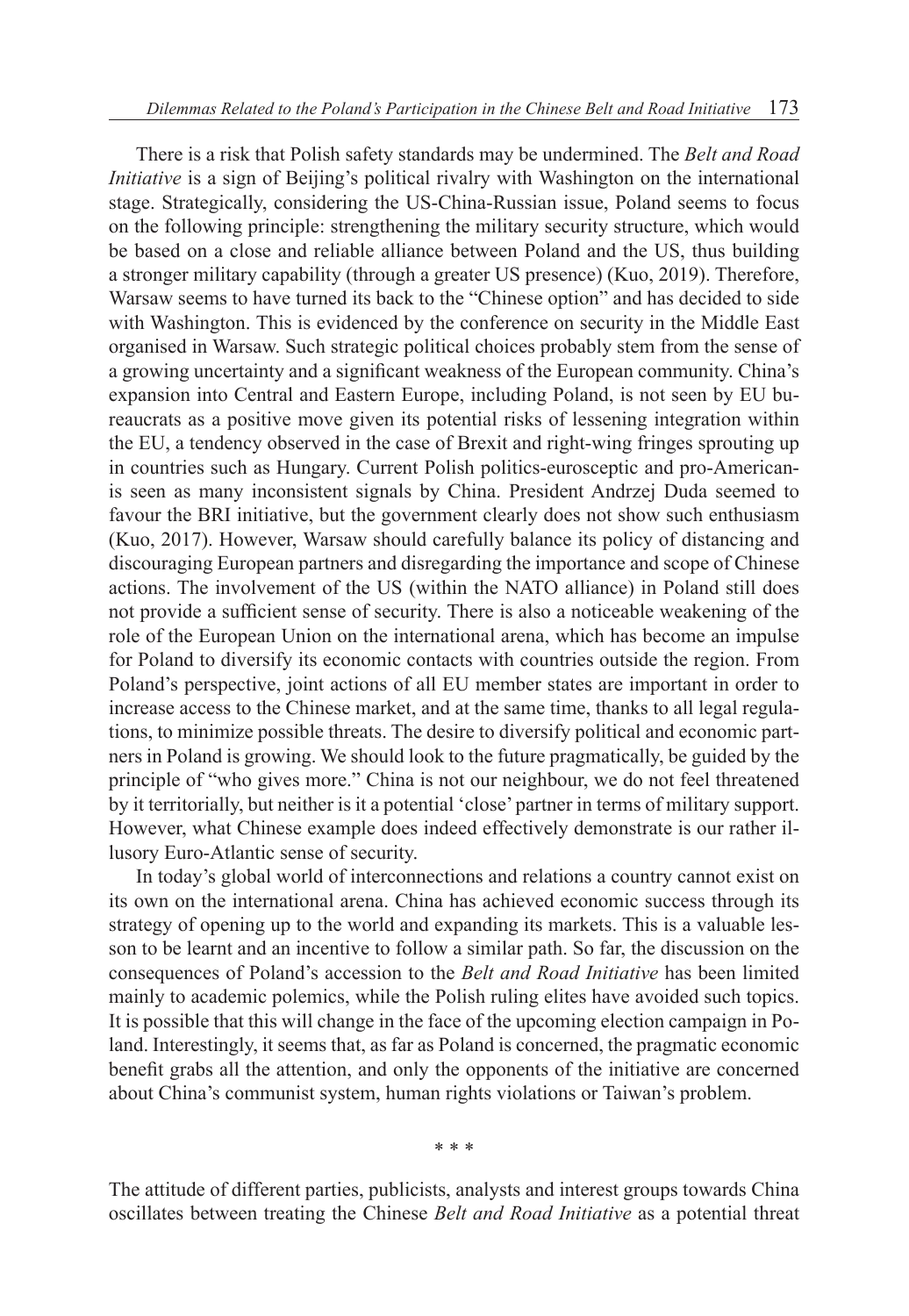There is a risk that Polish safety standards may be undermined. The *Belt and Road Initiative* is a sign of Beijing's political rivalry with Washington on the international stage. Strategically, considering the US-China-Russian issue, Poland seems to focus on the following principle: strengthening the military security structure, which would be based on a close and reliable alliance between Poland and the US, thus building a stronger military capability (through a greater US presence) (Kuo, 2019). Therefore, Warsaw seems to have turned its back to the "Chinese option" and has decided to side with Washington. This is evidenced by the conference on security in the Middle East organised in Warsaw. Such strategic political choices probably stem from the sense of a growing uncertainty and a significant weakness of the European community. China's expansion into Central and Eastern Europe, including Poland, is not seen by EU bureaucrats as a positive move given its potential risks of lessening integration within the EU, a tendency observed in the case of Brexit and right-wing fringes sprouting up in countries such as Hungary. Current Polish politics-eurosceptic and pro-Americanis seen as many inconsistent signals by China. President Andrzej Duda seemed to favour the BRI initiative, but the government clearly does not show such enthusiasm (Kuo, 2017). However, Warsaw should carefully balance its policy of distancing and discouraging European partners and disregarding the importance and scope of Chinese actions. The involvement of the US (within the NATO alliance) in Poland still does not provide a sufficient sense of security. There is also a noticeable weakening of the role of the European Union on the international arena, which has become an impulse for Poland to diversify its economic contacts with countries outside the region. From Poland's perspective, joint actions of all EU member states are important in order to increase access to the Chinese market, and at the same time, thanks to all legal regulations, to minimize possible threats. The desire to diversify political and economic partners in Poland is growing. We should look to the future pragmatically, be guided by the principle of "who gives more." China is not our neighbour, we do not feel threatened by it territorially, but neither is it a potential 'close' partner in terms of military support. However, what Chinese example does indeed effectively demonstrate is our rather illusory Euro-Atlantic sense of security.

In today's global world of interconnections and relations a country cannot exist on its own on the international arena. China has achieved economic success through its strategy of opening up to the world and expanding its markets. This is a valuable lesson to be learnt and an incentive to follow a similar path. So far, the discussion on the consequences of Poland's accession to the *Belt and Road Initiative* has been limited mainly to academic polemics, while the Polish ruling elites have avoided such topics. It is possible that this will change in the face of the upcoming election campaign in Poland. Interestingly, it seems that, as far as Poland is concerned, the pragmatic economic benefit grabs all the attention, and only the opponents of the initiative are concerned about China's communist system, human rights violations or Taiwan's problem.

\* \* \*

The attitude of different parties, publicists, analysts and interest groups towards China oscillates between treating the Chinese *Belt and Road Initiative* as a potential threat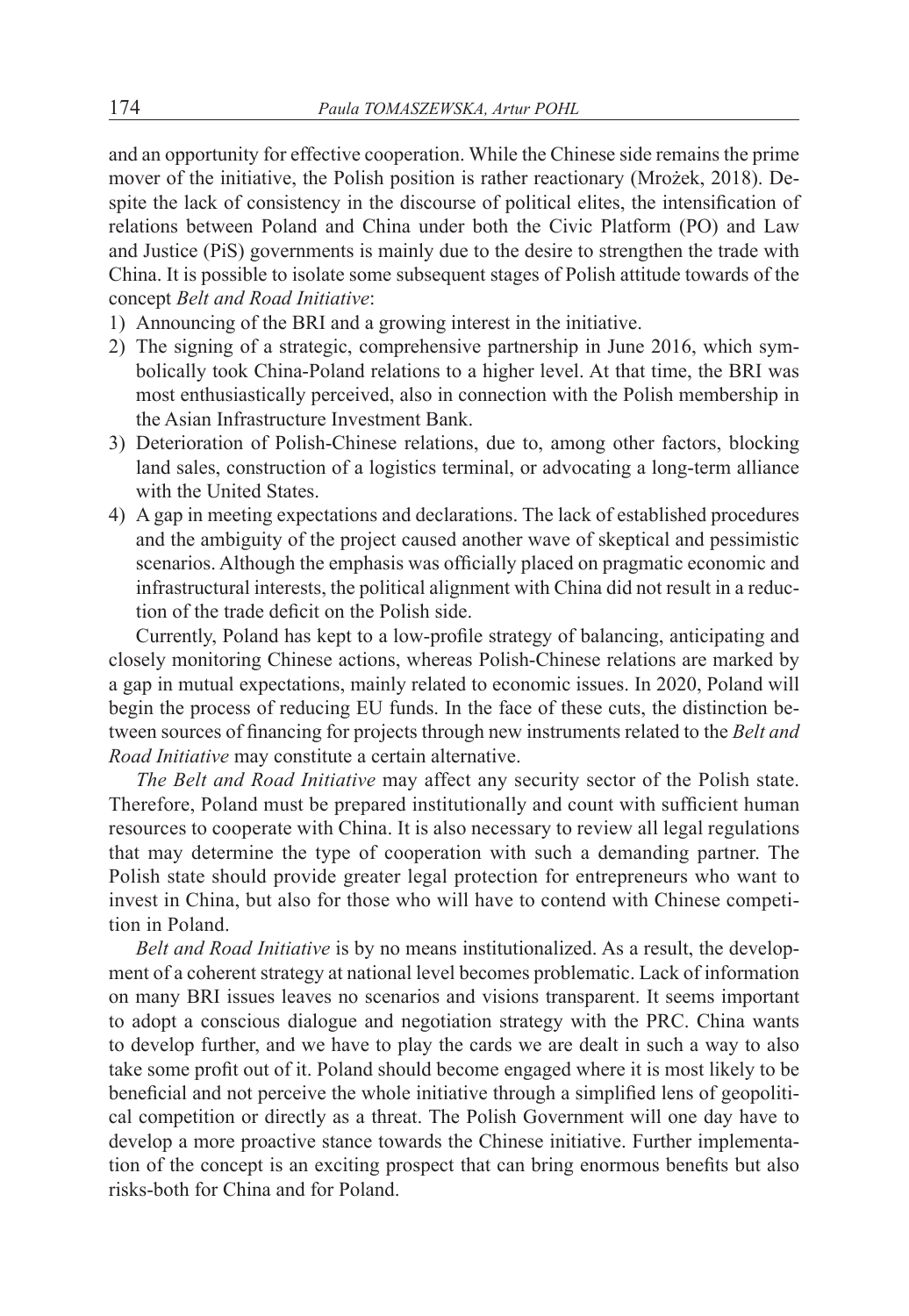and an opportunity for effective cooperation. While the Chinese side remains the prime mover of the initiative, the Polish position is rather reactionary (Mrożek, 2018). Despite the lack of consistency in the discourse of political elites, the intensification of relations between Poland and China under both the Civic Platform (PO) and Law and Justice (PiS) governments is mainly due to the desire to strengthen the trade with China. It is possible to isolate some subsequent stages of Polish attitude towards of the concept *Belt and Road Initiative*:

- 1) Announcing of the BRI and a growing interest in the initiative.
- 2) The signing of a strategic, comprehensive partnership in June 2016, which symbolically took China-Poland relations to a higher level. At that time, the BRI was most enthusiastically perceived, also in connection with the Polish membership in the Asian Infrastructure Investment Bank.
- 3) Deterioration of Polish-Chinese relations, due to, among other factors, blocking land sales, construction of a logistics terminal, or advocating a long-term alliance with the United States.
- 4) A gap in meeting expectations and declarations. The lack of established procedures and the ambiguity of the project caused another wave of skeptical and pessimistic scenarios. Although the emphasis was officially placed on pragmatic economic and infrastructural interests, the political alignment with China did not result in a reduction of the trade deficit on the Polish side.

Currently, Poland has kept to a low-profile strategy of balancing, anticipating and closely monitoring Chinese actions, whereas Polish-Chinese relations are marked by a gap in mutual expectations, mainly related to economic issues. In 2020, Poland will begin the process of reducing EU funds. In the face of these cuts, the distinction between sources of financing for projects through new instruments related to the *Belt and Road Initiative* may constitute a certain alternative.

*The Belt and Road Initiative* may affect any security sector of the Polish state. Therefore, Poland must be prepared institutionally and count with sufficient human resources to cooperate with China. It is also necessary to review all legal regulations that may determine the type of cooperation with such a demanding partner. The Polish state should provide greater legal protection for entrepreneurs who want to invest in China, but also for those who will have to contend with Chinese competition in Poland.

*Belt and Road Initiative* is by no means institutionalized. As a result, the development of a coherent strategy at national level becomes problematic. Lack of information on many BRI issues leaves no scenarios and visions transparent. It seems important to adopt a conscious dialogue and negotiation strategy with the PRC. China wants to develop further, and we have to play the cards we are dealt in such a way to also take some profit out of it. Poland should become engaged where it is most likely to be beneficial and not perceive the whole initiative through a simplified lens of geopolitical competition or directly as a threat. The Polish Government will one day have to develop a more proactive stance towards the Chinese initiative. Further implementation of the concept is an exciting prospect that can bring enormous benefits but also risks-both for China and for Poland.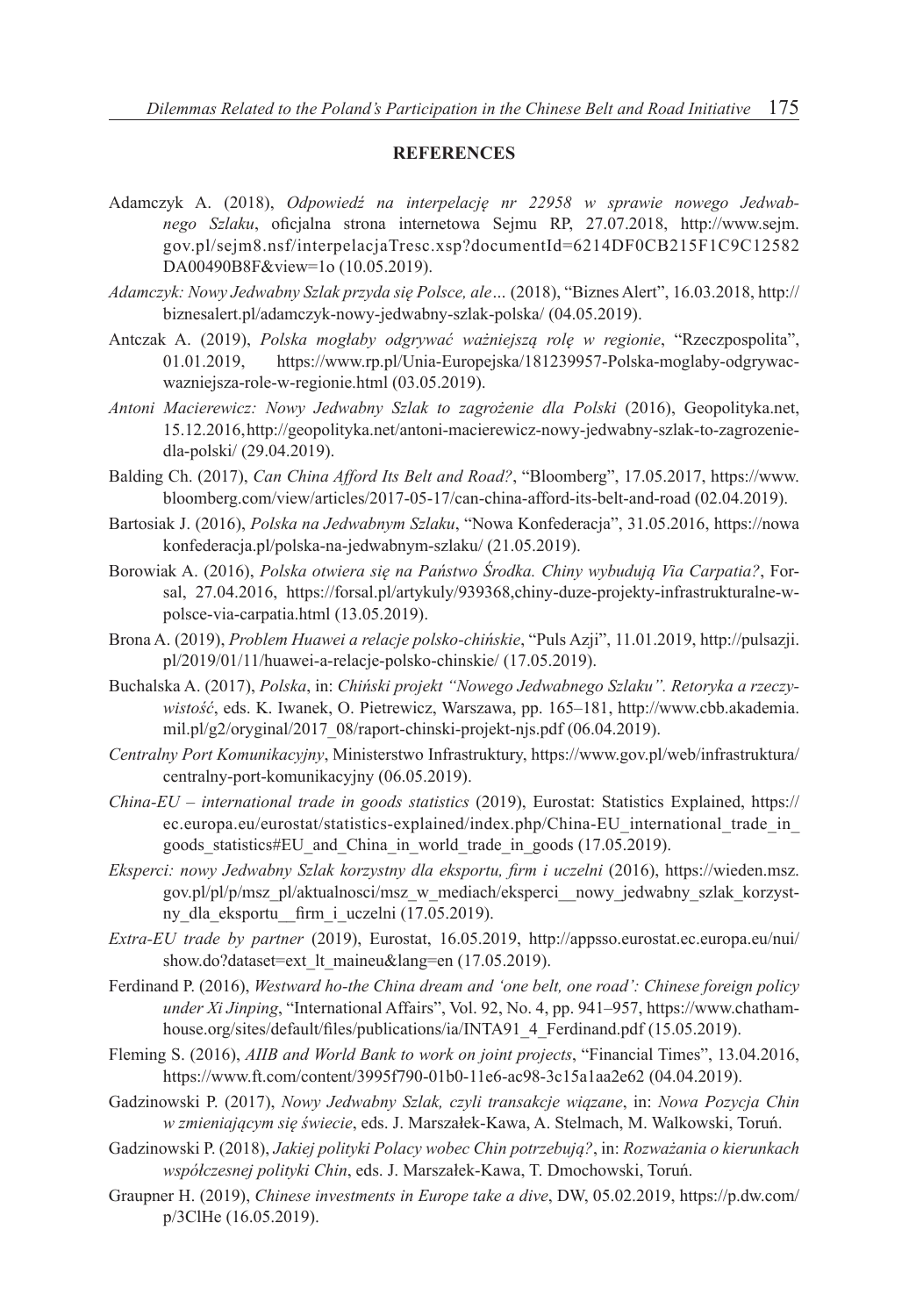#### **REFERENCES**

- Adamczyk A. (2018), *Odpowiedź na interpelację nr 22958 w sprawie nowego Jedwabnego Szlaku*, oficjalna strona internetowa Sejmu RP, 27.07.2018, http://www.sejm. gov.pl/sejm8.nsf/interpelacjaTresc.xsp?documentId=6214DF0CB215F1C9C12582 DA00490B8F&view=1o (10.05.2019).
- *Adamczyk: Nowy Jedwabny Szlak przyda się Polsce, ale…* (2018), "Biznes Alert", 16.03.2018, http:// biznesalert.pl/adamczyk-nowy-jedwabny-szlak-polska/ (04.05.2019).
- Antczak A. (2019), *Polska mogłaby odgrywać ważniejszą rolę w regionie*, "Rzeczpospolita", 01.01.2019, https://www.rp.pl/Unia-Europejska/181239957-Polska-moglaby-odgrywacwazniejsza-role-w-regionie.html (03.05.2019).
- *Antoni Macierewicz: Nowy Jedwabny Szlak to zagrożenie dla Polski* (2016), Geopolityka.net, 15.12.2016, http://geopolityka.net/antoni-macierewicz-nowy-jedwabny-szlak-to-zagrozeniedla-polski/ (29.04.2019).
- Balding Ch. (2017), *Can China Afford Its Belt and Road?*, "Bloomberg", 17.05.2017, https://www. bloomberg.com/view/articles/2017-05-17/can-china-afford-its-belt-and-road (02.04.2019).
- Bartosiak J. (2016), *Polska na Jedwabnym Szlaku*, "Nowa Konfederacja", 31.05.2016, https://nowa konfederacja.pl/polska-na-jedwabnym-szlaku/ (21.05.2019).
- Borowiak A. (2016), *Polska otwiera się na Państwo Środka. Chiny wybudują Via Carpatia?*, Forsal, 27.04.2016, https://forsal.pl/artykuly/939368,chiny-duze-projekty-infrastrukturalne-wpolsce-via-carpatia.html (13.05.2019).
- Brona A. (2019), *Problem Huawei a relacje polsko-chińskie*, "Puls Azji", 11.01.2019, http://pulsazji. pl/2019/01/11/huawei-a-relacje-polsko-chinskie/ (17.05.2019).
- Buchalska A. (2017), *Polska*, in: *Chiński projekt "Nowego Jedwabnego Szlaku". Retoryka a rzeczywistość*, eds. K. Iwanek, O. Pietrewicz, Warszawa, pp. 165–181, http://www.cbb.akademia. mil.pl/g2/oryginal/2017\_08/raport-chinski-projekt-njs.pdf (06.04.2019).
- *Centralny Port Komunikacyjny*, Ministerstwo Infrastruktury, https://www.gov.pl/web/infrastruktura/ centralny-port-komunikacyjny (06.05.2019).
- *China-EU international trade in goods statistics* (2019), Eurostat: Statistics Explained, https:// ec.europa.eu/eurostat/statistics-explained/index.php/China-EU\_international\_trade\_in\_ goods statistics#EU and China in world trade in goods (17.05.2019).
- *Eksperci: nowy Jedwabny Szlak korzystny dla eksportu, firm i uczelni* (2016), https://wieden.msz. gov.pl/pl/p/msz\_pl/aktualnosci/msz\_w\_mediach/eksperci\_\_nowy\_jedwabny\_szlak\_korzystny dla eksportu firm i uczelni (17.05.2019).
- *Extra-EU trade by partner* (2019), Eurostat, 16.05.2019, http://appsso.eurostat.ec.europa.eu/nui/ show.do?dataset=ext\_lt\_maineu&lang=en (17.05.2019).
- Ferdinand P. (2016), *Westward ho-the China dream and 'one belt, one road': Chinese foreign policy under Xi Jinping*, "International Affairs", Vol. 92, No. 4, pp. 941–957, https://www.chathamhouse.org/sites/default/files/publications/ia/INTA91\_4\_Ferdinand.pdf (15.05.2019).
- Fleming S. (2016), *AIIB and World Bank to work on joint projects*, "Financial Times", 13.04.2016, https://www.ft.com/content/3995f790-01b0-11e6-ac98-3c15a1aa2e62 (04.04.2019).
- Gadzinowski P. (2017), *Nowy Jedwabny Szlak, czyli transakcje wiązane*, in: *Nowa Pozycja Chin w zmieniającym się świecie*, eds. J. Marszałek-Kawa, A. Stelmach, M. Walkowski, Toruń.
- Gadzinowski P. (2018), *Jakiej polityki Polacy wobec Chin potrzebują?*, in: *Rozważania o kierunkach współczesnej polityki Chin*, eds. J. Marszałek-Kawa, T. Dmochowski, Toruń.
- Graupner H. (2019), *Chinese investments in Europe take a dive*, DW, 05.02.2019, https://p.dw.com/ p/3ClHe (16.05.2019).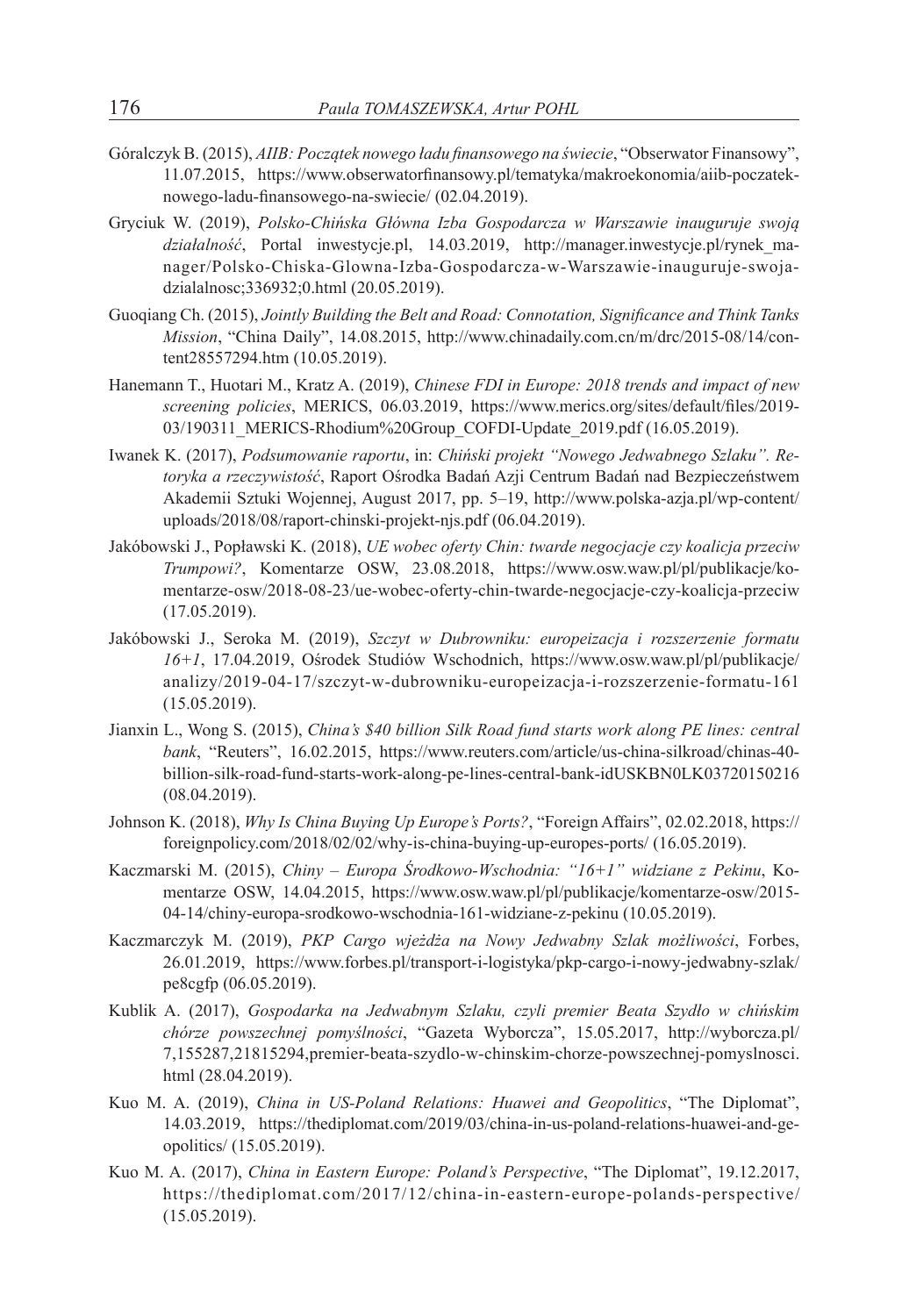- Góralczyk B. (2015), *AIIB: Początek nowego ładu finansowego na świecie*, "Obserwator Finansowy", 11.07.2015, https://www.obserwatorfinansowy.pl/tematyka/makroekonomia/aiib-poczateknowego-ladu-finansowego-na-swiecie/ (02.04.2019).
- Gryciuk W. (2019), *Polsko-Chińska Główna Izba Gospodarcza w Warszawie inauguruje swoją działalność*, Portal inwestycje.pl, 14.03.2019, http://manager.inwestycje.pl/rynek\_manager/Polsko-Chiska-Glowna-Izba-Gospodarcza-w-Warszawie-inauguruje-swojadzialalnosc;336932;0.html (20.05.2019).
- Guoqiang Ch. (2015), *Jointly Building the Belt and Road: Connotation, Significance and Think Tanks Mission*, "China Daily", 14.08.2015, http://www.chinadaily.com.cn/m/drc/2015-08/14/content28557294.htm (10.05.2019).
- Hanemann T., Huotari M., Kratz A. (2019), *Chinese FDI in Europe: 2018 trends and impact of new screening policies*, MERICS, 06.03.2019, https://www.merics.org/sites/default/files/2019- 03/190311\_MERICS-Rhodium%20Group\_COFDI-Update\_2019.pdf (16.05.2019).
- Iwanek K. (2017), *Podsumowanie raportu*, in: *Chiński projekt "Nowego Jedwabnego Szlaku". Retoryka a rzeczywistość*, Raport Ośrodka Badań Azji Centrum Badań nad Bezpieczeństwem Akademii Sztuki Wojennej, August 2017, pp. 5–19, http://www.polska-azja.pl/wp-content/ uploads/2018/08/raport-chinski-projekt-njs.pdf (06.04.2019).
- Jakóbowski J., Popławski K. (2018), *UE wobec oferty Chin: twarde negocjacje czy koalicja przeciw Trumpowi?*, Komentarze OSW, 23.08.2018, https://www.osw.waw.pl/pl/publikacje/komentarze-osw/2018-08-23/ue-wobec-oferty-chin-twarde-negocjacje-czy-koalicja-przeciw (17.05.2019).
- Jakóbowski J., Seroka M. (2019), *Szczyt w Dubrowniku: europeizacja i rozszerzenie formatu 16+1*, 17.04.2019, Ośrodek Studiów Wschodnich, https://www.osw.waw.pl/pl/publikacje/ analizy/2019-04-17/szczyt-w-dubrowniku-europeizacja-i-rozszerzenie-formatu-161 (15.05.2019).
- Jianxin L., Wong S. (2015), *China's \$40 billion Silk Road fund starts work along PE lines: central bank*, "Reuters", 16.02.2015, https://www.reuters.com/article/us-china-silkroad/chinas-40 billion-silk-road-fund-starts-work-along-pe-lines-central-bank-idUSKBN0LK03720150216 (08.04.2019).
- Johnson K. (2018), *Why Is China Buying Up Europe's Ports?*, "Foreign Affairs", 02.02.2018, https:// foreignpolicy.com/2018/02/02/why-is-china-buying-up-europes-ports/ (16.05.2019).
- Kaczmarski M. (2015), *Chiny Europa Środkowo-Wschodnia: "16+1" widziane z Pekinu*, Komentarze OSW, 14.04.2015, https://www.osw.waw.pl/pl/publikacje/komentarze-osw/2015- 04-14/chiny-europa-srodkowo-wschodnia-161-widziane-z-pekinu (10.05.2019).
- Kaczmarczyk M. (2019), *PKP Cargo wjeżdża na Nowy Jedwabny Szlak możliwości*, Forbes, 26.01.2019, https://www.forbes.pl/transport-i-logistyka/pkp-cargo-i-nowy-jedwabny-szlak/ pe8cgfp (06.05.2019).
- Kublik A. (2017), *Gospodarka na Jedwabnym Szlaku, czyli premier Beata Szydło w chińskim chórze powszechnej pomyślności*, "Gazeta Wyborcza", 15.05.2017, http://wyborcza.pl/ 7,155287,21815294,premier-beata-szydlo-w-chinskim-chorze-powszechnej-pomyslnosci. html (28.04.2019).
- Kuo M. A. (2019), *China in US-Poland Relations: Huawei and Geopolitics*, "The Diplomat", 14.03.2019, https://thediplomat.com/2019/03/china-in-us-poland-relations-huawei-and-geopolitics/ (15.05.2019).
- Kuo M. A. (2017), *China in Eastern Europe: Poland's Perspective*, "The Diplomat", 19.12.2017, https://thediplomat.com/2017/12/china-in-eastern-europe-polands-perspective/ (15.05.2019).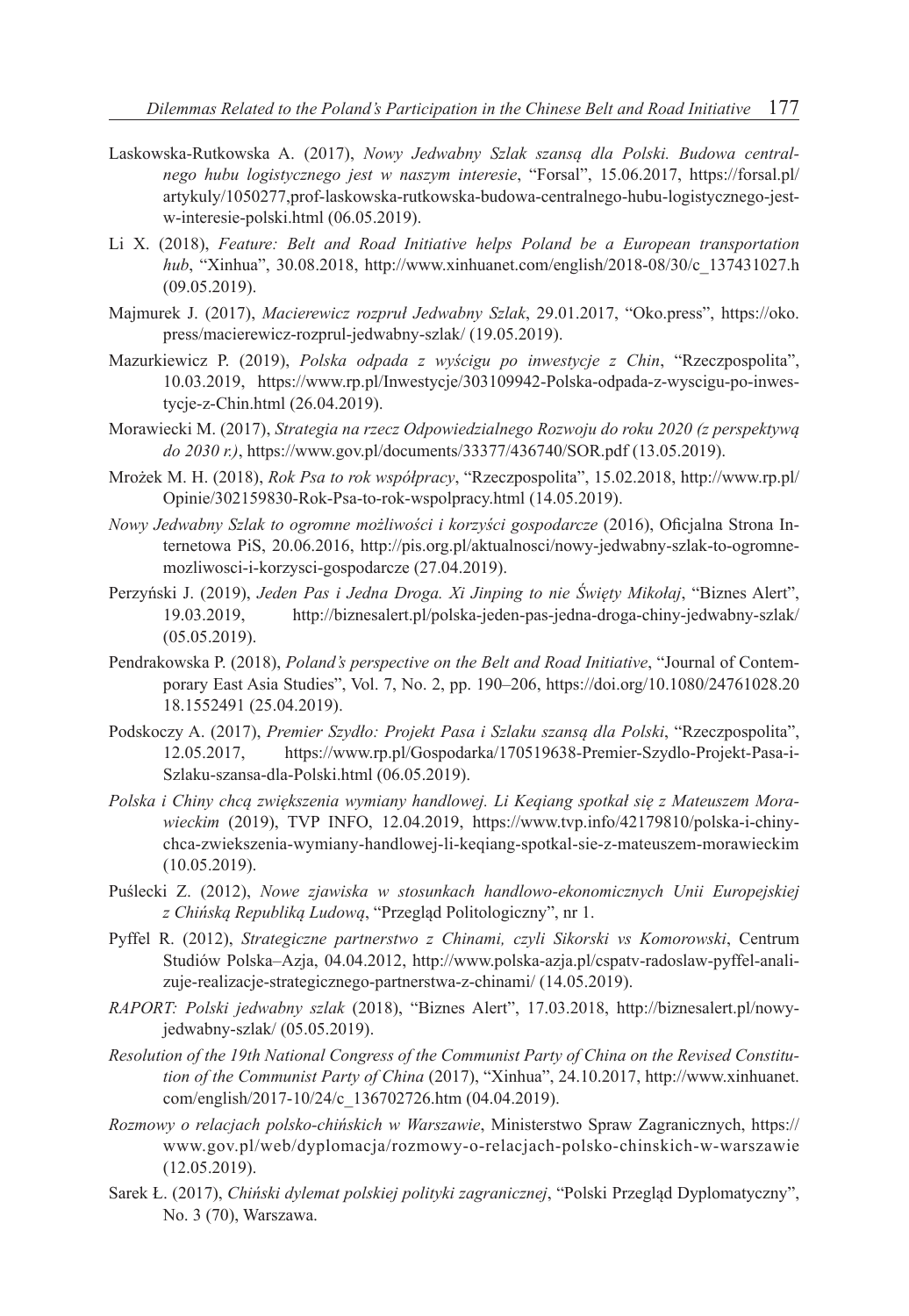- Laskowska-Rutkowska A. (2017), *Nowy Jedwabny Szlak szansą dla Polski. Budowa centralnego hubu logistycznego jest w naszym interesie*, "Forsal", 15.06.2017, https://forsal.pl/ artykuly/1050277,prof-laskowska-rutkowska-budowa-centralnego-hubu-logistycznego-jestw-interesie-polski.html (06.05.2019).
- Li X. (2018), *Feature: Belt and Road Initiative helps Poland be a European transportation hub*, "Xinhua", 30.08.2018, http://www.xinhuanet.com/english/2018-08/30/c\_137431027.h (09.05.2019).
- Majmurek J. (2017), *Macierewicz rozpruł Jedwabny Szlak*, 29.01.2017, "Oko.press", https://oko. press/macierewicz-rozprul-jedwabny-szlak/ (19.05.2019).
- Mazurkiewicz P. (2019), *Polska odpada z wyścigu po inwestycje z Chin*, "Rzeczpospolita", 10.03.2019, https://www.rp.pl/Inwestycje/303109942-Polska-odpada-z-wyscigu-po-inwestycje-z-Chin.html (26.04.2019).
- Morawiecki M. (2017), *Strategia na rzecz Odpowiedzialnego Rozwoju do roku 2020 (z perspektywą do 2030 r.)*, https://www.gov.pl/documents/33377/436740/SOR.pdf (13.05.2019).
- Mrożek M. H. (2018), *Rok Psa to rok współpracy*, "Rzeczpospolita", 15.02.2018, http://www.rp.pl/ Opinie/302159830-Rok-Psa-to-rok-wspolpracy.html (14.05.2019).
- *Nowy Jedwabny Szlak to ogromne możliwości i korzyści gospodarcze* (2016), Oficjalna Strona Internetowa PiS, 20.06.2016, http://pis.org.pl/aktualnosci/nowy-jedwabny-szlak-to-ogromnemozliwosci-i-korzysci-gospodarcze (27.04.2019).
- Perzyński J. (2019), *Jeden Pas i Jedna Droga. Xi Jinping to nie Święty Mikołaj*, "Biznes Alert", 19.03.2019, http://biznesalert.pl/polska-jeden-pas-jedna-droga-chiny-jedwabny-szlak/ (05.05.2019).
- Pendrakowska P. (2018), *Poland's perspective on the Belt and Road Initiative*, "Journal of Contemporary East Asia Studies", Vol. 7, No. 2, pp. 190–206, https://doi.org/10.1080/24761028.20 18.1552491 (25.04.2019).
- Podskoczy A. (2017), *Premier Szydło: Projekt Pasa i Szlaku szansą dla Polski*, "Rzeczpospolita", 12.05.2017, https://www.rp.pl/Gospodarka/170519638-Premier-Szydlo-Projekt-Pasa-i-Szlaku-szansa-dla-Polski.html (06.05.2019).
- *Polska i Chiny chcą zwiększenia wymiany handlowej. Li Keqiang spotkał się z Mateuszem Morawieckim* (2019), TVP INFO, 12.04.2019, https://www.tvp.info/42179810/polska-i-chinychca-zwiekszenia-wymiany-handlowej-li-keqiang-spotkal-sie-z-mateuszem-morawieckim (10.05.2019).
- Puślecki Z. (2012), *Nowe zjawiska w stosunkach handlowo-ekonomicznych Unii Europejskiej z Chińską Republiką Ludową*, "Przegląd Politologiczny", nr 1.
- Pyffel R. (2012), *Strategiczne partnerstwo z Chinami, czyli Sikorski vs Komorowski*, Centrum Studiów Polska–Azja, 04.04.2012, http://www.polska-azja.pl/cspatv-radoslaw-pyffel-analizuje-realizacje-strategicznego-partnerstwa-z-chinami/ (14.05.2019).
- *RAPORT: Polski jedwabny szlak* (2018), "Biznes Alert", 17.03.2018, http://biznesalert.pl/nowyjedwabny-szlak/ (05.05.2019).
- *Resolution of the 19th National Congress of the Communist Party of China on the Revised Constitution of the Communist Party of China* (2017), "Xinhua", 24.10.2017, http://www.xinhuanet. com/english/2017-10/24/c\_136702726.htm (04.04.2019).
- *Rozmowy o relacjach polsko-chińskich w Warszawie*, Ministerstwo Spraw Zagranicznych, https:// www.gov.pl/web/dyplomacja/rozmowy-o-relacjach-polsko-chinskich-w-warszawie (12.05.2019).
- Sarek Ł. (2017), *Chiński dylemat polskiej polityki zagranicznej*, "Polski Przegląd Dyplomatyczny", No. 3 (70), Warszawa.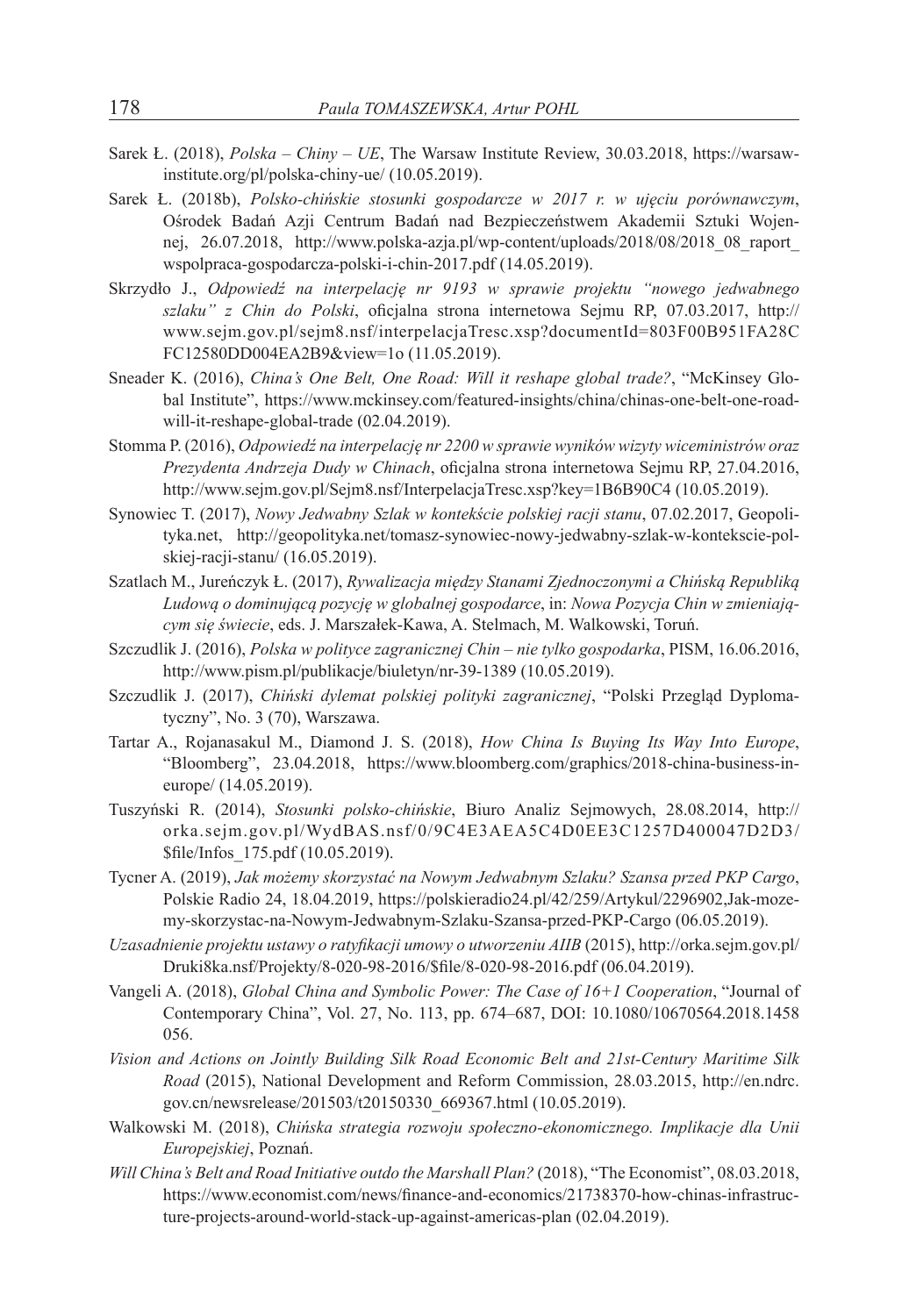- Sarek Ł. (2018), *Polska Chiny UE*, The Warsaw Institute Review, 30.03.2018, https://warsawinstitute.org/pl/polska-chiny-ue/ (10.05.2019).
- Sarek Ł. (2018b), *Polsko-chińskie stosunki gospodarcze w 2017 r. w ujęciu porównawczym*, Ośrodek Badań Azji Centrum Badań nad Bezpieczeństwem Akademii Sztuki Wojennej, 26.07.2018, http://www.polska-azja.pl/wp-content/uploads/2018/08/2018\_08\_raport\_ wspolpraca-gospodarcza-polski-i-chin-2017.pdf (14.05.2019).
- Skrzydło J., *Odpowiedź na interpelację nr 9193 w sprawie projektu "nowego jedwabnego szlaku" z Chin do Polski*, oficjalna strona internetowa Sejmu RP, 07.03.2017, http:// www.sejm.gov.pl/sejm8.nsf/interpelacjaTresc.xsp?documentId=803F00B951FA28C FC12580DD004EA2B9&view=1o (11.05.2019).
- Sneader K. (2016), *China's One Belt, One Road: Will it reshape global trade?*, "McKinsey Global Institute", https://www.mckinsey.com/featured-insights/china/chinas-one-belt-one-roadwill-it-reshape-global-trade (02.04.2019).
- Stomma P. (2016), *Odpowiedź na interpelację nr 2200 w sprawie wyników wizyty wiceministrów oraz Prezydenta Andrzeja Dudy w Chinach*, oficjalna strona internetowa Sejmu RP, 27.04.2016, http://www.sejm.gov.pl/Sejm8.nsf/InterpelacjaTresc.xsp?key=1B6B90C4 (10.05.2019).
- Synowiec T. (2017), *Nowy Jedwabny Szlak w kontekście polskiej racji stanu*, 07.02.2017, Geopolityka.net, http://geopolityka.net/tomasz-synowiec-nowy-jedwabny-szlak-w-kontekscie-polskiej-racji-stanu/ (16.05.2019).
- Szatlach M., Jureńczyk Ł. (2017), *Rywalizacja między Stanami Zjednoczonymi a Chińską Republiką Ludową o dominującą pozycję w globalnej gospodarce*, in: *Nowa Pozycja Chin w zmieniającym się świecie*, eds. J. Marszałek-Kawa, A. Stelmach, M. Walkowski, Toruń.
- Szczudlik J. (2016), *Polska w polityce zagranicznej Chin nie tylko gospodarka*, PISM, 16.06.2016, http://www.pism.pl/publikacje/biuletyn/nr-39-1389 (10.05.2019).
- Szczudlik J. (2017), *Chiński dylemat polskiej polityki zagranicznej*, "Polski Przegląd Dyplomatyczny", No. 3 (70), Warszawa.
- Tartar A., Rojanasakul M., Diamond J. S. (2018), *How China Is Buying Its Way Into Europe*, "Bloomberg", 23.04.2018, https://www.bloomberg.com/graphics/2018-china-business-ineurope/ (14.05.2019).
- Tuszyński R. (2014), *Stosunki polsko-chińskie*, Biuro Analiz Sejmowych, 28.08.2014, http:// orka.sejm.gov.pl/WydBAS.nsf/0/9C4E3AEA5C4D0EE3C1257D400047D2D3/ \$file/Infos\_175.pdf (10.05.2019).
- Tycner A. (2019), *Jak możemy skorzystać na Nowym Jedwabnym Szlaku? Szansa przed PKP Cargo*, Polskie Radio 24, 18.04.2019, https://polskieradio24.pl/42/259/Artykul/2296902,Jak-mozemy-skorzystac-na-Nowym-Jedwabnym-Szlaku-Szansa-przed-PKP-Cargo (06.05.2019).
- *Uzasadnienie projektu ustawy o ratyfikacji umowy o utworzeniu AIIB* (2015), http://orka.sejm.gov.pl/ Druki8ka.nsf/Projekty/8-020-98-2016/\$file/8-020-98-2016.pdf (06.04.2019).
- Vangeli A. (2018), *Global China and Symbolic Power: The Case of 16+1 Cooperation*, "Journal of Contemporary China", Vol. 27, No. 113, pp. 674–687, DOI: 10.1080/10670564.2018.1458 056.
- *Vision and Actions on Jointly Building Silk Road Economic Belt and 21st-Century Maritime Silk Road* (2015), National Development and Reform Commission, 28.03.2015, http://en.ndrc. gov.cn/newsrelease/201503/t20150330\_669367.html (10.05.2019).
- Walkowski M. (2018), *Chińska strategia rozwoju społeczno-ekonomicznego. Implikacje dla Unii Europejskiej*, Poznań.
- *Will China's Belt and Road Initiative outdo the Marshall Plan?* (2018), "The Economist", 08.03.2018, https://www.economist.com/news/finance-and-economics/21738370-how-chinas-infrastructure-projects-around-world-stack-up-against-americas-plan (02.04.2019).